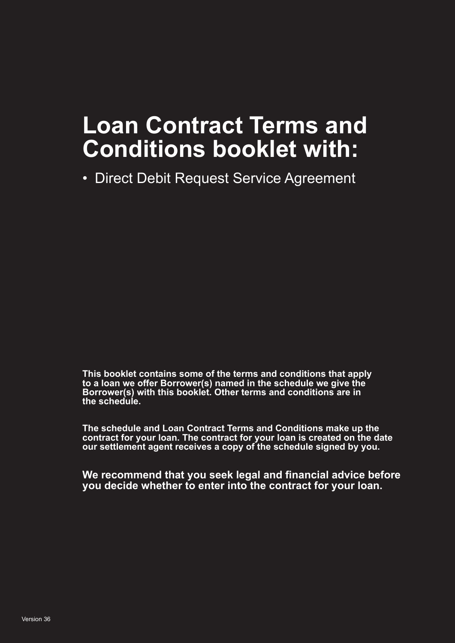# **Loan Contract Terms and Conditions booklet with:**

• Direct Debit Request Service Agreement

**This booklet contains some of the terms and conditions that apply to a loan we offer Borrower(s) named in the schedule we give the Borrower(s) with this booklet. Other terms and conditions are in the schedule.**

**The schedule and Loan Contract Terms and Conditions make up the contract for your loan. The contract for your loan is created on the date our settlement agent receives a copy of the schedule signed by you.**

**We recommend that you seek legal and financial advice before you decide whether to enter into the contract for your loan.**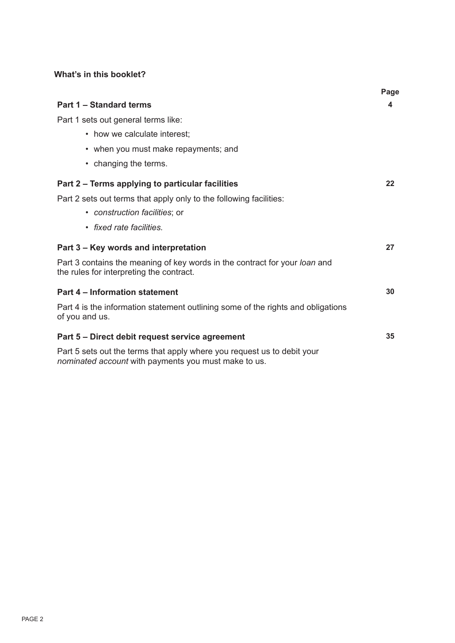# **What's in this booklet?**

|                                                                                                                        | Page |
|------------------------------------------------------------------------------------------------------------------------|------|
| <b>Part 1 - Standard terms</b>                                                                                         | 4    |
| Part 1 sets out general terms like:                                                                                    |      |
| • how we calculate interest;                                                                                           |      |
| • when you must make repayments; and                                                                                   |      |
| • changing the terms.                                                                                                  |      |
| Part 2 – Terms applying to particular facilities                                                                       | 22   |
| Part 2 sets out terms that apply only to the following facilities:                                                     |      |
| • construction facilities; or                                                                                          |      |
| • fixed rate facilities.                                                                                               |      |
| Part 3 – Key words and interpretation                                                                                  | 27   |
| Part 3 contains the meaning of key words in the contract for your loan and<br>the rules for interpreting the contract. |      |
| Part 4 - Information statement                                                                                         | 30   |
| Part 4 is the information statement outlining some of the rights and obligations<br>of you and us.                     |      |
| Part 5 – Direct debit request service agreement                                                                        | 35   |
| Part 5 sets out the terms that apply where you request us to debit your                                                |      |

*nominated account* with payments you must make to us.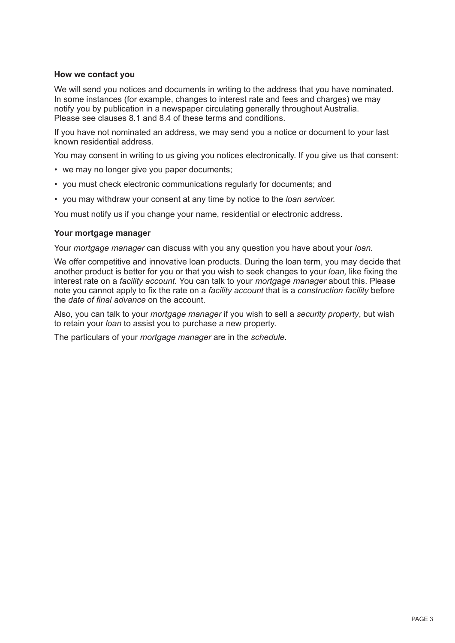#### **How we contact you**

We will send you notices and documents in writing to the address that you have nominated. In some instances (for example, changes to interest rate and fees and charges) we may notify you by publication in a newspaper circulating generally throughout Australia. Please see clauses 8.1 and 8.4 of these terms and conditions.

If you have not nominated an address, we may send you a notice or document to your last known residential address.

You may consent in writing to us giving you notices electronically. If you give us that consent:

- we may no longer give you paper documents;
- you must check electronic communications regularly for documents; and
- you may withdraw your consent at any time by notice to the *loan servicer.*

You must notify us if you change your name, residential or electronic address.

#### **Your mortgage manager**

Your *mortgage manager* can discuss with you any question you have about your *loan*.

We offer competitive and innovative loan products. During the loan term, you may decide that another product is better for you or that you wish to seek changes to your *loan,* like fixing the interest rate on a *facility account.* You can talk to your *mortgage manager* about this. Please note you cannot apply to fix the rate on a *facility account* that is a *construction facility* before the *date of final advance* on the account.

Also, you can talk to your *mortgage manager* if you wish to sell a *security property*, but wish to retain your *loan* to assist you to purchase a new property.

The particulars of your *mortgage manager* are in the *schedule*.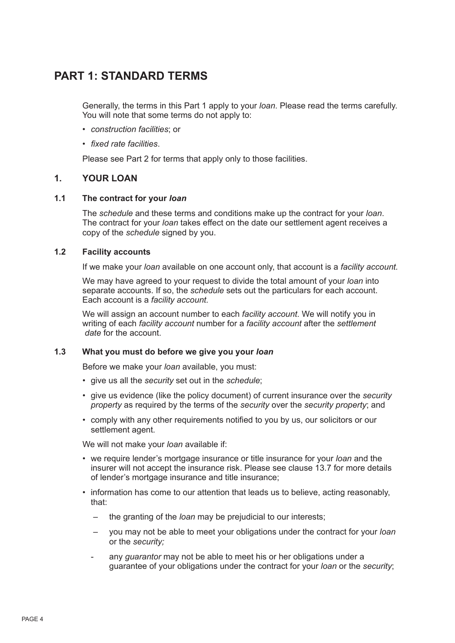# **PART 1: STANDARD TERMS**

Generally, the terms in this Part 1 apply to your *loan*. Please read the terms carefully. You will note that some terms do not apply to:

- *• construction facilities*; or
- *• fixed rate facilities*.

Please see Part 2 for terms that apply only to those facilities.

#### **1. YOUR LOAN**

#### **1.1 The contract for your** *loan*

The *schedule* and these terms and conditions make up the contract for your *loan*. The contract for your *loan* takes effect on the date our settlement agent receives a copy of the *schedule* signed by you.

#### **1.2 Facility accounts**

If we make your *loan* available on one account only, that account is a *facility account.*

We may have agreed to your request to divide the total amount of your *loan* into separate accounts. If so, the *schedule* sets out the particulars for each account. Each account is a *facility account.*

We will assign an account number to each *facility account*. We will notify you in writing of each *facility account* number for a *facility account* after the *settlement date* for the account.

# **1.3 What you must do before we give you your** *loan*

Before we make your *loan* available, you must:

- give us all the *security* set out in the *schedule*;
- give us evidence (like the policy document) of current insurance over the *security property* as required by the terms of the *security* over the *security property*; and
- comply with any other requirements notified to you by us, our solicitors or our settlement agent.

We will not make your *loan* available if:

- we require lender's mortgage insurance or title insurance for your *loan* and the insurer will not accept the insurance risk. Please see clause 13.7 for more details of lender's mortgage insurance and title insurance;
- information has come to our attention that leads us to believe, acting reasonably, that:
	- the granting of the *loan* may be prejudicial to our interests;
	- you may not be able to meet your obligations under the contract for your *loan*  or the *security;*
	- any *guarantor* may not be able to meet his or her obligations under a guarantee of your obligations under the contract for your *loan* or the *security*;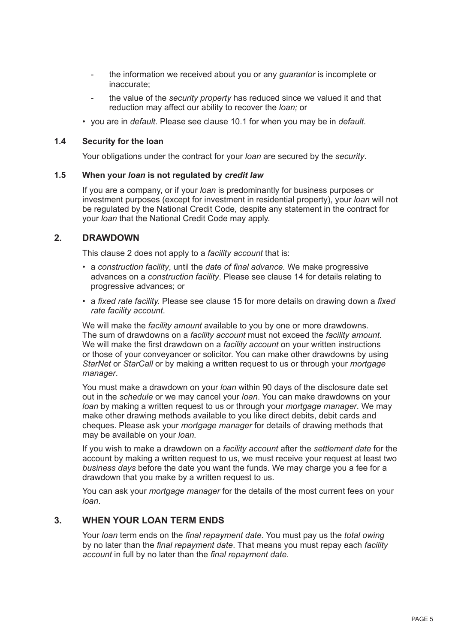- the information we received about you or any *guarantor* is incomplete or inaccurate;
- the value of the *security property* has reduced since we valued it and that reduction may affect our ability to recover the *loan;* or
- you are in *default*. Please see clause 10.1 for when you may be in *default.*

#### **1.4 Security for the loan**

Your obligations under the contract for your *loan* are secured by the *security*.

#### **1.5 When your** *loan* **is not regulated by** *credit law*

If you are a company, or if your *loan* is predominantly for business purposes or investment purposes (except for investment in residential property), your *loan* will not be regulated by the National Credit Code*,* despite any statement in the contract for your *loan* that the National Credit Code may apply.

#### **2. DRAWDOWN**

This clause 2 does not apply to a *facility account* that is:

- a *construction facility*, until the *date of final advance.* We make progressive advances on a *construction facility*. Please see clause 14 for details relating to progressive advances; or
- a *fixed rate facility.* Please see clause 15 for more details on drawing down a *fixed rate facility account*.

We will make the *facility amount* available to you by one or more drawdowns. The sum of drawdowns on a *facility account* must not exceed the *facility amount.*  We will make the first drawdown on a *facility account* on your written instructions or those of your conveyancer or solicitor. You can make other drawdowns by using *StarNet* or *StarCall* or by making a written request to us or through your *mortgage manager*.

You must make a drawdown on your *loan* within 90 days of the disclosure date set out in the *schedule* or we may cancel your *loan*. You can make drawdowns on your *loan* by making a written request to us or through your *mortgage manager*. We may make other drawing methods available to you like direct debits, debit cards and cheques. Please ask your *mortgage manager* for details of drawing methods that may be available on your *loan.*

If you wish to make a drawdown on a *facility account* after the *settlement date* for the account by making a written request to us, we must receive your request at least two *business days* before the date you want the funds. We may charge you a fee for a drawdown that you make by a written request to us*.* 

You can ask your *mortgage manager* for the details of the most current fees on your *loan*.

#### **3. WHEN YOUR LOAN TERM ENDS**

Your *loan* term ends on the *final repayment date*. You must pay us the *total owing* by no later than the *final repayment date*. That means you must repay each *facility account* in full by no later than the *final repayment date.*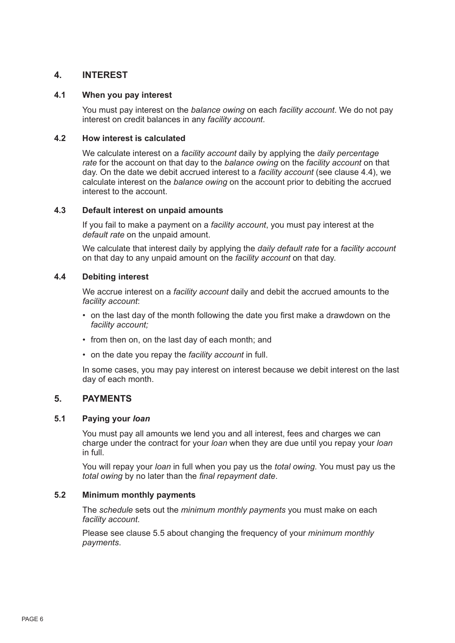# **4. INTEREST**

#### **4.1 When you pay interest**

You must pay interest on the *balance owing* on each *facility account*. We do not pay interest on credit balances in any *facility account*.

#### **4.2 How interest is calculated**

We calculate interest on a *facility account* daily by applying the *daily percentage rate* for the account on that day to the *balance owing* on the *facility account* on that day. On the date we debit accrued interest to a *facility account* (see clause 4.4), we calculate interest on the *balance owing* on the account prior to debiting the accrued interest to the account.

#### **4.3 Default interest on unpaid amounts**

If you fail to make a payment on a *facility account*, you must pay interest at the *default rate* on the unpaid amount.

We calculate that interest daily by applying the *daily default rate* for a *facility account* on that day to any unpaid amount on the *facility account* on that day.

#### **4.4 Debiting interest**

We accrue interest on a *facility account* daily and debit the accrued amounts to the *facility account*:

- on the last day of the month following the date you first make a drawdown on the *facility account;*
- from then on, on the last day of each month; and
- on the date you repay the *facility account* in full.

In some cases, you may pay interest on interest because we debit interest on the last day of each month.

# **5. PAYMENTS**

#### **5.1 Paying your** *loan*

You must pay all amounts we lend you and all interest, fees and charges we can charge under the contract for your *loan* when they are due until you repay your *loan*  in full.

You will repay your *loan* in full when you pay us the *total owing.* You must pay us the *total owing* by no later than the *final repayment date*.

#### **5.2 Minimum monthly payments**

The *schedule* sets out the *minimum monthly payments* you must make on each *facility account*.

Please see clause 5.5 about changing the frequency of your *minimum monthly payments*.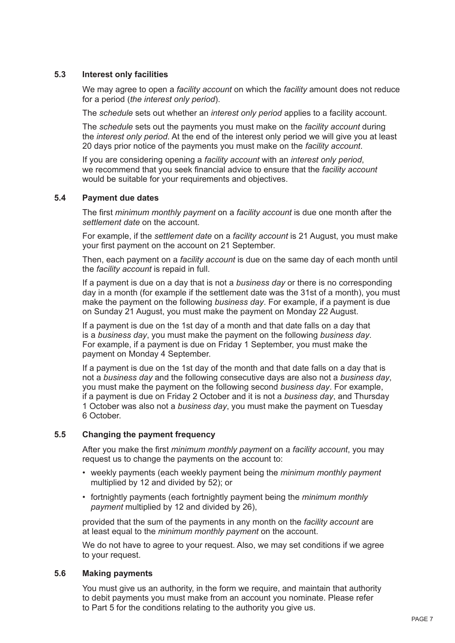## **5.3 Interest only facilities**

We may agree to open a *facility account* on which the *facility* amount does not reduce for a period (*the interest only period*).

The *schedule* sets out whether an *interest only period* applies to a facility account.

The *schedule* sets out the payments you must make on the *facility account* during the *interest only period*. At the end of the interest only period we will give you at least 20 days prior notice of the payments you must make on the *facility account*.

If you are considering opening a *facility account* with an *interest only period*, we recommend that you seek financial advice to ensure that the *facility account*  would be suitable for your requirements and objectives.

#### **5.4 Payment due dates**

The first *minimum monthly payment* on a *facility account* is due one month after the *settlement date* on the account.

For example, if the *settlement date* on a *facility account* is 21 August, you must make your first payment on the account on 21 September.

Then, each payment on a *facility account* is due on the same day of each month until the *facility account* is repaid in full.

If a payment is due on a day that is not a *business day* or there is no corresponding day in a month (for example if the settlement date was the 31st of a month), you must make the payment on the following *business day*. For example, if a payment is due on Sunday 21 August, you must make the payment on Monday 22 August.

If a payment is due on the 1st day of a month and that date falls on a day that is a *business day*, you must make the payment on the following *business day*. For example, if a payment is due on Friday 1 September, you must make the payment on Monday 4 September.

If a payment is due on the 1st day of the month and that date falls on a day that is not a *business day* and the following consecutive days are also not a *business day*, you must make the payment on the following second *business day*. For example, if a payment is due on Friday 2 October and it is not a *business day*, and Thursday 1 October was also not a *business day*, you must make the payment on Tuesday 6 October.

#### **5.5 Changing the payment frequency**

After you make the first *minimum monthly payment* on a *facility account*, you may request us to change the payments on the account to:

- weekly payments (each weekly payment being the *minimum monthly payment* multiplied by 12 and divided by 52); or
- fortnightly payments (each fortnightly payment being the *minimum monthly payment* multiplied by 12 and divided by 26),

provided that the sum of the payments in any month on the *facility account* are at least equal to the *minimum monthly payment* on the account.

We do not have to agree to your request. Also, we may set conditions if we agree to your request.

#### **5.6 Making payments**

You must give us an authority, in the form we require, and maintain that authority to debit payments you must make from an account you nominate. Please refer to Part 5 for the conditions relating to the authority you give us.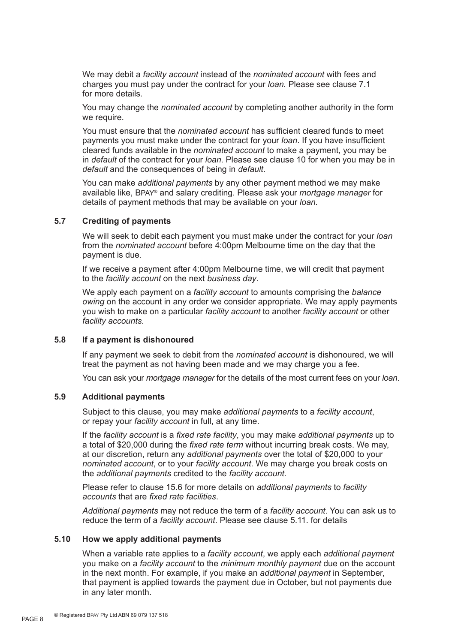We may debit a *facility account* instead of the *nominated account* with fees and charges you must pay under the contract for your *loan.* Please see clause 7.1 for more details.

You may change the *nominated account* by completing another authority in the form we require.

You must ensure that the *nominated account* has sufficient cleared funds to meet payments you must make under the contract for your *loan*. If you have insufficient cleared funds available in the *nominated account* to make a payment, you may be in *default* of the contract for your *loan*. Please see clause 10 for when you may be in *default* and the consequences of being in *default*.

You can make *additional payments* by any other payment method we may make available like, BPAY® and salary crediting. Please ask your *mortgage manager* for details of payment methods that may be available on your *loan.*

#### **5.7 Crediting of payments**

We will seek to debit each payment you must make under the contract for your *loan* from the *nominated account* before 4:00pm Melbourne time on the day that the payment is due.

If we receive a payment after 4:00pm Melbourne time, we will credit that payment to the *facility account* on the next *business day*.

We apply each payment on a *facility account* to amounts comprising the *balance owing* on the account in any order we consider appropriate. We may apply payments you wish to make on a particular *facility account* to another *facility account* or other *facility accounts.*

#### **5.8 If a payment is dishonoured**

If any payment we seek to debit from the *nominated account* is dishonoured, we will treat the payment as not having been made and we may charge you a fee.

You can ask your *mortgage manager* for the details of the most current fees on your *loan*.

#### **5.9 Additional payments**

Subject to this clause, you may make *additional payments* to a *facility account*, or repay your *facility account* in full, at any time.

If the *facility account* is a *fixed rate facility*, you may make *additional payments* up to a total of \$20,000 during the *fixed rate term* without incurring break costs. We may, at our discretion, return any *additional payments* over the total of \$20,000 to your *nominated account*, or to your *facility account*. We may charge you break costs on the *additional payments* credited to the *facility account*.

Please refer to clause 15.6 for more details on *additional payments* to *facility accounts* that are *fixed rate facilities*.

*Additional payments* may not reduce the term of a *facility account*. You can ask us to reduce the term of a *facility account*. Please see clause 5.11. for details

## **5.10 How we apply additional payments**

When a variable rate applies to a *facility account*, we apply each *additional payment*  you make on a *facility account* to the *minimum monthly payment* due on the account in the next month. For example, if you make an *additional payment* in September, that payment is applied towards the payment due in October, but not payments due in any later month.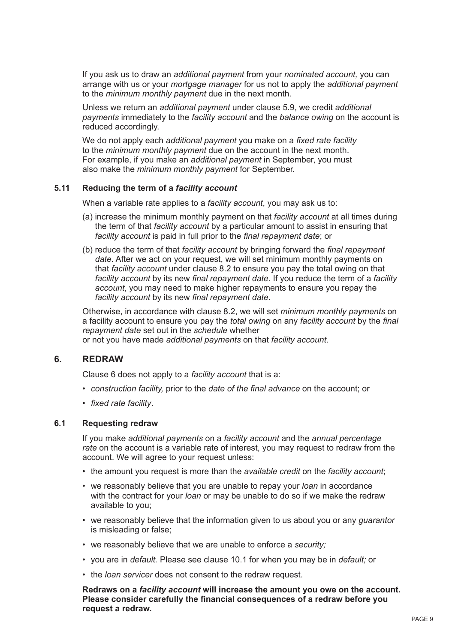If you ask us to draw an *additional payment* from your *nominated account,* you can arrange with us or your *mortgage manager* for us not to apply the *additional payment*  to the *minimum monthly payment* due in the next month.

Unless we return an *additional payment* under clause 5.9, we credit *additional payments* immediately to the *facility account* and the *balance owing* on the account is reduced accordingly.

We do not apply each *additional payment* you make on a *fixed rate facility* to the *minimum monthly payment* due on the account in the next month. For example, if you make an *additional payment* in September, you must also make the *minimum monthly payment* for September.

#### **5.11 Reducing the term of a** *facility account*

When a variable rate applies to a *facility account*, you may ask us to:

- (a) increase the minimum monthly payment on that *facility account* at all times during the term of that *facility account* by a particular amount to assist in ensuring that *facility account* is paid in full prior to the *final repayment date*; or
- (b) reduce the term of that *facility account* by bringing forward the *final repayment date*. After we act on your request, we will set minimum monthly payments on that *facility account* under clause 8.2 to ensure you pay the total owing on that *facility account* by its new *final repayment date*. If you reduce the term of a *facility account*, you may need to make higher repayments to ensure you repay the *facility account* by its new *final repayment date*.

Otherwise, in accordance with clause 8.2, we will set *minimum monthly payments* on a facility account to ensure you pay the *total owing* on any *facility account* by the *final repayment date* set out in the *schedule* whether

or not you have made *additional payments* on that *facility account*.

#### **6. REDRAW**

Clause 6 does not apply to a *facility account* that is a:

- *• construction facility,* prior to the *date of the final advance* on the account; or
- *• fixed rate facility*.

#### **6.1 Requesting redraw**

If you make *additional payments* on a *facility account* and the *annual percentage rate* on the account is a variable rate of interest, you may request to redraw from the account. We will agree to your request unless:

- the amount you request is more than the *available credit* on the *facility account*;
- we reasonably believe that you are unable to repay your *loan* in accordance with the contract for your *loan* or may be unable to do so if we make the redraw available to you;
- we reasonably believe that the information given to us about you or any *guarantor* is misleading or false;
- we reasonably believe that we are unable to enforce a *security;*
- you are in *default.* Please see clause 10.1 for when you may be in *default;* or
- the *loan servicer* does not consent to the redraw request.

**Redraws on a** *facility account* **will increase the amount you owe on the account. Please consider carefully the financial consequences of a redraw before you request a redraw.**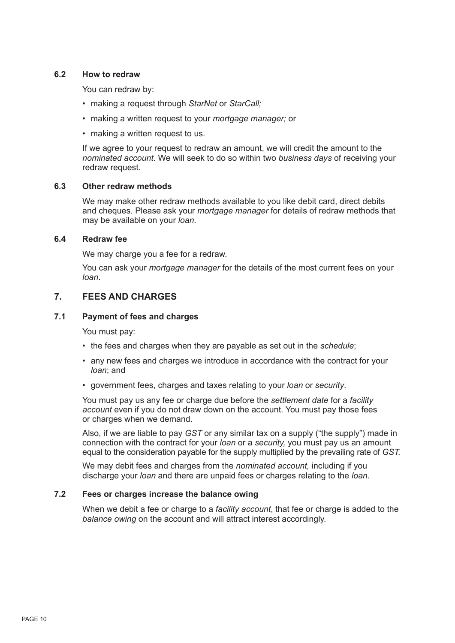#### **6.2 How to redraw**

You can redraw by:

- making a request through *StarNet* or *StarCall;*
- making a written request to your *mortgage manager;* or
- making a written request to us*.*

If we agree to your request to redraw an amount, we will credit the amount to the *nominated account.* We will seek to do so within two *business days* of receiving your redraw request.

#### **6.3 Other redraw methods**

We may make other redraw methods available to you like debit card, direct debits and cheques. Please ask your *mortgage manager* for details of redraw methods that may be available on your *loan.*

#### **6.4 Redraw fee**

We may charge you a fee for a redraw.

You can ask your *mortgage manager* for the details of the most current fees on your *loan*.

# **7. FEES AND CHARGES**

#### **7.1 Payment of fees and charges**

You must pay:

- the fees and charges when they are payable as set out in the *schedule*;
- any new fees and charges we introduce in accordance with the contract for your *loan*; and
- government fees, charges and taxes relating to your *loan* or *security*.

You must pay us any fee or charge due before the *settlement date* for a *facility account* even if you do not draw down on the account. You must pay those fees or charges when we demand.

Also, if we are liable to pay *GST* or any similar tax on a supply ("the supply") made in connection with the contract for your *loan* or a *security,* you must pay us an amount equal to the consideration payable for the supply multiplied by the prevailing rate of *GST.* 

We may debit fees and charges from the *nominated account,* including if you discharge your *loan* and there are unpaid fees or charges relating to the *loan.*

#### **7.2 Fees or charges increase the balance owing**

When we debit a fee or charge to a *facility account*, that fee or charge is added to the *balance owing* on the account and will attract interest accordingly.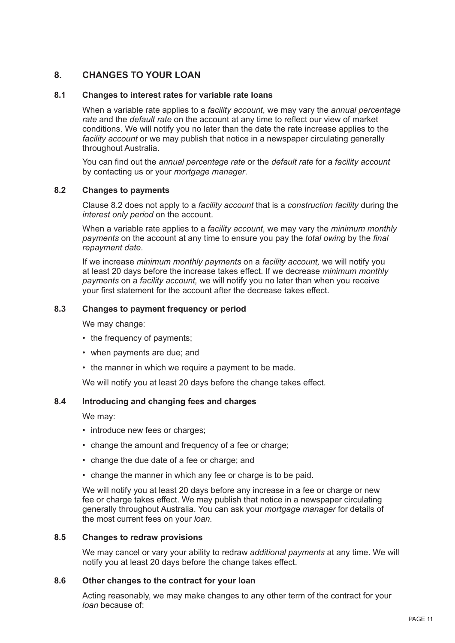# **8. CHANGES TO YOUR LOAN**

#### **8.1 Changes to interest rates for variable rate loans**

When a variable rate applies to a *facility account*, we may vary the *annual percentage rate* and the *default rate* on the account at any time to reflect our view of market conditions. We will notify you no later than the date the rate increase applies to the *facility account* or we may publish that notice in a newspaper circulating generally throughout Australia.

You can find out the *annual percentage rate* or the *default rate* for a *facility account*  by contacting us or your *mortgage manager*.

#### **8.2 Changes to payments**

Clause 8.2 does not apply to a *facility account* that is a *construction facility* during the *interest only period* on the account.

When a variable rate applies to a *facility account*, we may vary the *minimum monthly payments* on the account at any time to ensure you pay the *total owing* by the *final repayment date*.

If we increase *minimum monthly payments* on a *facility account,* we will notify you at least 20 days before the increase takes effect. If we decrease *minimum monthly payments* on a *facility account,* we will notify you no later than when you receive your first statement for the account after the decrease takes effect.

#### **8.3 Changes to payment frequency or period**

We may change:

- the frequency of payments;
- when payments are due; and
- the manner in which we require a payment to be made.

We will notify you at least 20 days before the change takes effect.

#### **8.4 Introducing and changing fees and charges**

We may:

- introduce new fees or charges;
- change the amount and frequency of a fee or charge;
- change the due date of a fee or charge; and
- change the manner in which any fee or charge is to be paid.

We will notify you at least 20 days before any increase in a fee or charge or new fee or charge takes effect. We may publish that notice in a newspaper circulating generally throughout Australia. You can ask your *mortgage manager* for details of the most current fees on your *loan.*

#### **8.5 Changes to redraw provisions**

We may cancel or vary your ability to redraw *additional payments* at any time. We will notify you at least 20 days before the change takes effect.

#### **8.6 Other changes to the contract for your loan**

Acting reasonably, we may make changes to any other term of the contract for your *loan* because of: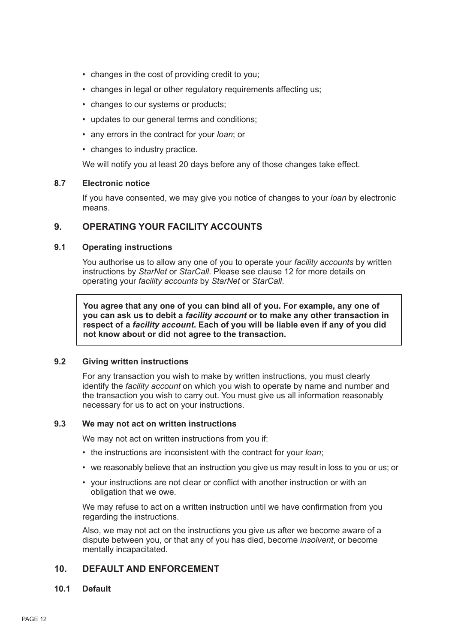- changes in the cost of providing credit to you;
- changes in legal or other regulatory requirements affecting us;
- changes to our systems or products;
- updates to our general terms and conditions;
- any errors in the contract for your *loan*; or
- changes to industry practice.

We will notify you at least 20 days before any of those changes take effect.

#### **8.7 Electronic notice**

If you have consented, we may give you notice of changes to your *loan* by electronic means.

# **9. OPERATING YOUR FACILITY ACCOUNTS**

#### **9.1 Operating instructions**

You authorise us to allow any one of you to operate your *facility accounts* by written instructions by *StarNet* or *StarCall.* Please see clause 12 for more details on operating your *facility accounts* by *StarNet* or *StarCall*.

**You agree that any one of you can bind all of you. For example, any one of you can ask us to debit a** *facility account* **or to make any other transaction in respect of a** *facility account***. Each of you will be liable even if any of you did not know about or did not agree to the transaction.**

#### **9.2 Giving written instructions**

For any transaction you wish to make by written instructions, you must clearly identify the *facility account* on which you wish to operate by name and number and the transaction you wish to carry out. You must give us all information reasonably necessary for us to act on your instructions.

#### **9.3 We may not act on written instructions**

We may not act on written instructions from you if:

- the instructions are inconsistent with the contract for your *loan*;
- we reasonably believe that an instruction you give us may result in loss to you or us; or
- your instructions are not clear or conflict with another instruction or with an obligation that we owe.

We may refuse to act on a written instruction until we have confirmation from you regarding the instructions.

Also, we may not act on the instructions you give us after we become aware of a dispute between you, or that any of you has died, become *insolvent*, or become mentally incapacitated.

#### **10. DEFAULT AND ENFORCEMENT**

#### **10.1 Default**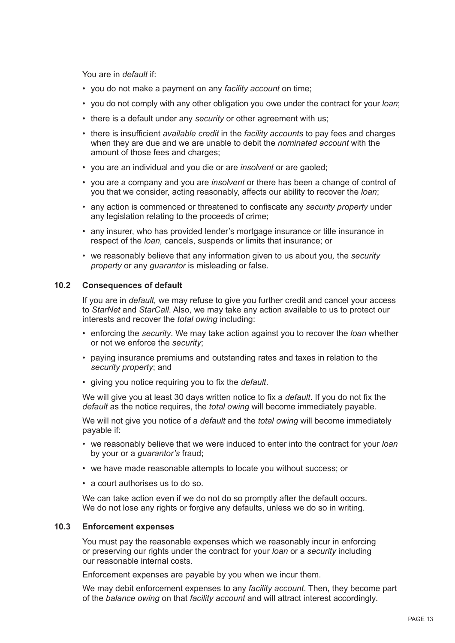You are in *default* if:

- you do not make a payment on any *facility account* on time;
- you do not comply with any other obligation you owe under the contract for your *loan*;
- there is a default under any *security* or other agreement with us;
- there is insufficient *available credit* in the *facility accounts* to pay fees and charges when they are due and we are unable to debit the *nominated account* with the amount of those fees and charges:
- you are an individual and you die or are *insolvent* or are gaoled;
- you are a company and you are *insolvent* or there has been a change of control of you that we consider, acting reasonably, affects our ability to recover the *loan*;
- any action is commenced or threatened to confiscate any *security property* under any legislation relating to the proceeds of crime;
- any insurer, who has provided lender's mortgage insurance or title insurance in respect of the *loan,* cancels, suspends or limits that insurance; or
- we reasonably believe that any information given to us about you*,* the *security property* or any *guarantor* is misleading or false.

#### **10.2 Consequences of default**

If you are in *default,* we may refuse to give you further credit and cancel your access to *StarNet* and *StarCall*. Also, we may take any action available to us to protect our interests and recover the *total owing* including:

- enforcing the *security*. We may take action against you to recover the *loan* whether or not we enforce the *security*;
- paying insurance premiums and outstanding rates and taxes in relation to the *security property*; and
- giving you notice requiring you to fix the *default*.

We will give you at least 30 days written notice to fix a *default*. If you do not fix the *default* as the notice requires, the *total owing* will become immediately payable.

We will not give you notice of a *default* and the *total owing* will become immediately payable if:

- we reasonably believe that we were induced to enter into the contract for your *loan* by your or a *guarantor's* fraud;
- we have made reasonable attempts to locate you without success; or
- a court authorises us to do so.

We can take action even if we do not do so promptly after the default occurs. We do not lose any rights or forgive any defaults, unless we do so in writing.

# **10.3 Enforcement expenses**

You must pay the reasonable expenses which we reasonably incur in enforcing or preserving our rights under the contract for your *loan* or a *security* including our reasonable internal costs.

Enforcement expenses are payable by you when we incur them.

We may debit enforcement expenses to any *facility account*. Then, they become part of the *balance owing* on that *facility account* and will attract interest accordingly*.*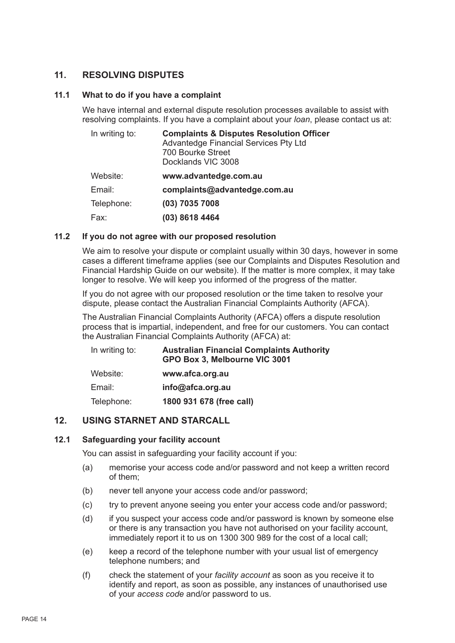# **11. RESOLVING DISPUTES**

#### **11.1 What to do if you have a complaint**

We have internal and external dispute resolution processes available to assist with resolving complaints. If you have a complaint about your *loan*, please contact us at:

| In writing to: | <b>Complaints &amp; Disputes Resolution Officer</b><br>Advantedge Financial Services Pty Ltd<br>700 Bourke Street<br>Docklands VIC 3008 |
|----------------|-----------------------------------------------------------------------------------------------------------------------------------------|
| Website:       | www.advantedge.com.au                                                                                                                   |
| Email:         | complaints@advantedge.com.au                                                                                                            |
| Telephone:     | (03) 7035 7008                                                                                                                          |
| Fax:           | (03) 8618 4464                                                                                                                          |

#### **11.2 If you do not agree with our proposed resolution**

We aim to resolve your dispute or complaint usually within 30 days, however in some cases a different timeframe applies (see our Complaints and Disputes Resolution and Financial Hardship Guide on our website). If the matter is more complex, it may take longer to resolve. We will keep you informed of the progress of the matter.

If you do not agree with our proposed resolution or the time taken to resolve your dispute, please contact the Australian Financial Complaints Authority (AFCA).

The Australian Financial Complaints Authority (AFCA) offers a dispute resolution process that is impartial, independent, and free for our customers. You can contact the Australian Financial Complaints Authority (AFCA) at:

| In writing to: | <b>Australian Financial Complaints Authority</b><br>GPO Box 3, Melbourne VIC 3001 |
|----------------|-----------------------------------------------------------------------------------|
| Website:       | www.afca.org.au                                                                   |
| Email:         | info@afca.org.au                                                                  |
| Telephone:     | 1800 931 678 (free call)                                                          |
|                |                                                                                   |

# **12. USING STARNET AND STARCALL**

#### **12.1 Safeguarding your facility account**

You can assist in safeguarding your facility account if you:

- (a) memorise your access code and/or password and not keep a written record of them;
- (b) never tell anyone your access code and/or password;
- (c) try to prevent anyone seeing you enter your access code and/or password;
- (d) if you suspect your access code and/or password is known by someone else or there is any transaction you have not authorised on your facility account, immediately report it to us on 1300 300 989 for the cost of a local call;
- (e) keep a record of the telephone number with your usual list of emergency telephone numbers; and
- (f) check the statement of your *facility account* as soon as you receive it to identify and report, as soon as possible, any instances of unauthorised use of your *access code* and/or password to us.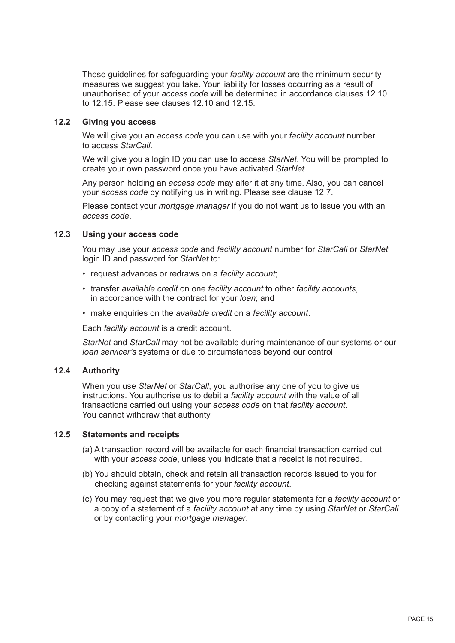These guidelines for safeguarding your *facility account* are the minimum security measures we suggest you take. Your liability for losses occurring as a result of unauthorised of your *access code* will be determined in accordance clauses 12.10 to 12.15. Please see clauses 12.10 and 12.15.

## **12.2 Giving you access**

We will give you an *access code* you can use with your *facility account* number to access *StarCall*.

We will give you a login ID you can use to access *StarNet*. You will be prompted to create your own password once you have activated *StarNet.*

Any person holding an *access code* may alter it at any time. Also, you can cancel your *access code* by notifying us in writing. Please see clause 12.7.

Please contact your *mortgage manager* if you do not want us to issue you with an *access code*.

#### **12.3 Using your access code**

You may use your *access code* and *facility account* number for *StarCall* or *StarNet* login ID and password for *StarNet* to:

- request advances or redraws on a *facility account*;
- transfer *available credit* on one *facility account* to other *facility accounts*, in accordance with the contract for your *loan*; and
- make enquiries on the *available credit* on a *facility account*.

Each *facility account* is a credit account.

*StarNet* and *StarCall* may not be available during maintenance of our systems or our *loan servicer's* systems or due to circumstances beyond our control.

#### **12.4 Authority**

When you use *StarNet* or *StarCall*, you authorise any one of you to give us instructions. You authorise us to debit a *facility account* with the value of all transactions carried out using your *access code* on that *facility account.*  You cannot withdraw that authority.

#### **12.5 Statements and receipts**

- (a) A transaction record will be available for each financial transaction carried out with your *access code*, unless you indicate that a receipt is not required.
- (b) You should obtain, check and retain all transaction records issued to you for checking against statements for your *facility account*.
- (c) You may request that we give you more regular statements for a *facility account* or a copy of a statement of a *facility account* at any time by using *StarNet* or *StarCall* or by contacting your *mortgage manager*.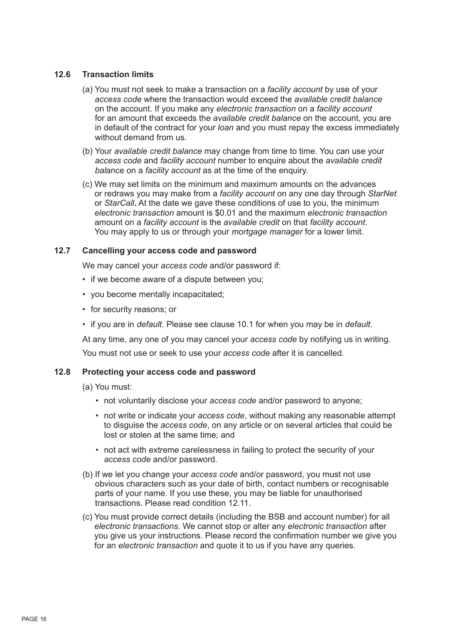#### **12.6 Transaction limits**

- (a) You must not seek to make a transaction on a *facility account* by use of your *access code* where the transaction would exceed the *available credit balance*  on the account. If you make any *electronic transaction* on a *facility account*  for an amount that exceeds the *available credit balance* on the account, you are in default of the contract for your *loan* and you must repay the excess immediately without demand from us.
- (b) Your *available credit balance* may change from time to time. You can use your *access code* and *facility account* number to enquire about the *available credit bal*ance on a *facility account* as at the time of the enquiry.
- (c) We may set limits on the minimum and maximum amounts on the advances or redraws you may make from a *facility account* on any one day through *StarNet*  or *StarCall***.** At the date we gave these conditions of use to you, the minimum *electronic transaction* amount is \$0.01 and the maximum *electronic transaction*  amount on a *facility account* is the *available credit* on that *facility account*. You may apply to us or through your *mortgage manager* for a lower limit.

#### **12.7 Cancelling your access code and password**

We may cancel your *access code* and/or password if:

- if we become aware of a dispute between you;
- you become mentally incapacitated;
- for security reasons; or
- if you are in *default.* Please see clause 10.1 for when you may be in *default*.

At any time, any one of you may cancel your *access code* by notifying us in writing.

You must not use or seek to use your *access code* after it is cancelled.

#### **12.8 Protecting your access code and password**

- (a) You must:
	- not voluntarily disclose your *access code* and/or password to anyone;
	- not write or indicate your *access code*, without making any reasonable attempt to disguise the *access code*, on any article or on several articles that could be lost or stolen at the same time; and
	- not act with extreme carelessness in failing to protect the security of your *access code* and/or password*.*
- (b) If we let you change your *access code* and/or password, you must not use obvious characters such as your date of birth, contact numbers or recognisable parts of your name. If you use these, you may be liable for unauthorised transactions. Please read condition 12.11.
- (c) You must provide correct details (including the BSB and account number) for all *electronic transactions*. We cannot stop or alter any *electronic transaction* after you give us your instructions. Please record the confirmation number we give you for an *electronic transaction* and quote it to us if you have any queries.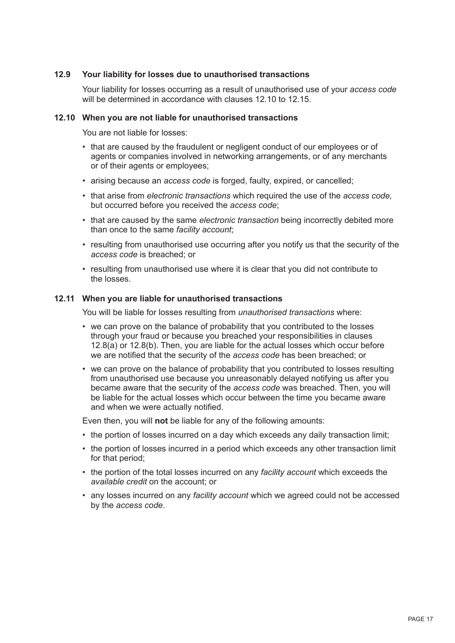#### **12.9 Your liability for losses due to unauthorised transactions**

Your liability for losses occurring as a result of unauthorised use of your *access code* will be determined in accordance with clauses 12.10 to 12.15

#### **12.10 When you are not liable for unauthorised transactions**

You are not liable for losses:

- that are caused by the fraudulent or negligent conduct of our employees or of agents or companies involved in networking arrangements, or of any merchants or of their agents or employees;
- arising because an *access code* is forged, faulty, expired, or cancelled;
- that arise from *electronic transactions* which required the use of the *access code,* but occurred before you received the *access code*;
- that are caused by the same *electronic transaction* being incorrectly debited more than once to the same *facility account*;
- resulting from unauthorised use occurring after you notify us that the security of the *access code* is breached; or
- resulting from unauthorised use where it is clear that you did not contribute to the losses.

#### **12.11 When you are liable for unauthorised transactions**

You will be liable for losses resulting from *unauthorised transactions* where:

- we can prove on the balance of probability that you contributed to the losses through your fraud or because you breached your responsibilities in clauses 12.8(a) or 12.8(b). Then, you are liable for the actual losses which occur before we are notified that the security of the *access code* has been breached; or
- we can prove on the balance of probability that you contributed to losses resulting from unauthorised use because you unreasonably delayed notifying us after you became aware that the security of the *access code* was breached. Then, you will be liable for the actual losses which occur between the time you became aware and when we were actually notified.

Even then, you will **not** be liable for any of the following amounts:

- the portion of losses incurred on a day which exceeds any daily transaction limit;
- the portion of losses incurred in a period which exceeds any other transaction limit for that period;
- the portion of the total losses incurred on any *facility account* which exceeds the *available credit* on the account; or
- any losses incurred on any *facility account* which we agreed could not be accessed by the *access code*.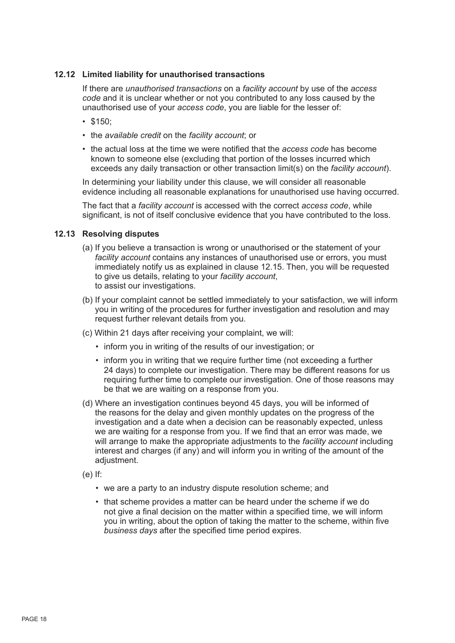#### **12.12 Limited liability for unauthorised transactions**

If there are *unauthorised transactions* on a *facility account* by use of the *access code* and it is unclear whether or not you contributed to any loss caused by the unauthorised use of your *access code*, you are liable for the lesser of:

- \$150;
- the *available credit* on the *facility account*; or
- the actual loss at the time we were notified that the *access code* has become known to someone else (excluding that portion of the losses incurred which exceeds any daily transaction or other transaction limit(s) on the *facility account*).

In determining your liability under this clause, we will consider all reasonable evidence including all reasonable explanations for unauthorised use having occurred.

The fact that a *facility account* is accessed with the correct *access code*, while significant, is not of itself conclusive evidence that you have contributed to the loss.

#### **12.13 Resolving disputes**

- (a) If you believe a transaction is wrong or unauthorised or the statement of your *facility account* contains any instances of unauthorised use or errors, you must immediately notify us as explained in clause 12.15. Then, you will be requested to give us details, relating to your *facility account*, to assist our investigations.
- (b) If your complaint cannot be settled immediately to your satisfaction, we will inform you in writing of the procedures for further investigation and resolution and may request further relevant details from you.
- (c) Within 21 days after receiving your complaint, we will:
	- inform you in writing of the results of our investigation; or
	- inform you in writing that we require further time (not exceeding a further 24 days) to complete our investigation. There may be different reasons for us requiring further time to complete our investigation. One of those reasons may be that we are waiting on a response from you.
- (d) Where an investigation continues beyond 45 days, you will be informed of the reasons for the delay and given monthly updates on the progress of the investigation and a date when a decision can be reasonably expected, unless we are waiting for a response from you. If we find that an error was made, we will arrange to make the appropriate adjustments to the *facility account* including interest and charges (if any) and will inform you in writing of the amount of the adjustment.
- $(e)$  If:
	- we are a party to an industry dispute resolution scheme; and
	- that scheme provides a matter can be heard under the scheme if we do not give a final decision on the matter within a specified time, we will inform you in writing, about the option of taking the matter to the scheme, within five *business days* after the specified time period expires.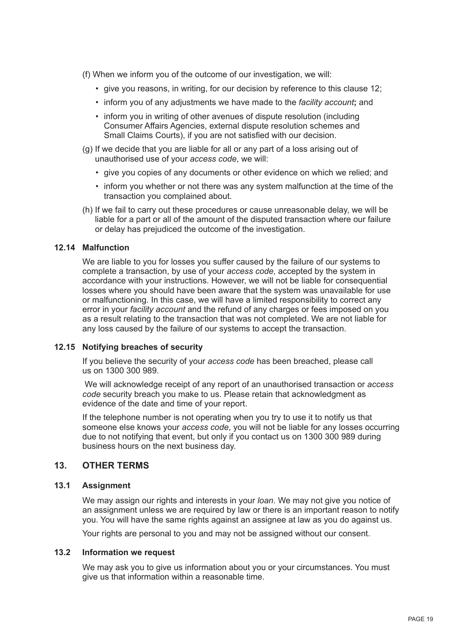- (f) When we inform you of the outcome of our investigation, we will:
	- give you reasons, in writing, for our decision by reference to this clause 12;
	- inform you of any adjustments we have made to the *facility account***;** and
	- inform you in writing of other avenues of dispute resolution (including Consumer Affairs Agencies, external dispute resolution schemes and Small Claims Courts), if you are not satisfied with our decision.
- (g) If we decide that you are liable for all or any part of a loss arising out of unauthorised use of your *access code*, we will:
	- give you copies of any documents or other evidence on which we relied; and
	- inform you whether or not there was any system malfunction at the time of the transaction you complained about.
- (h) If we fail to carry out these procedures or cause unreasonable delay, we will be liable for a part or all of the amount of the disputed transaction where our failure or delay has prejudiced the outcome of the investigation.

#### **12.14 Malfunction**

We are liable to you for losses you suffer caused by the failure of our systems to complete a transaction, by use of your *access code,* accepted by the system in accordance with your instructions. However, we will not be liable for consequential losses where you should have been aware that the system was unavailable for use or malfunctioning. In this case, we will have a limited responsibility to correct any error in your *facility account* and the refund of any charges or fees imposed on you as a result relating to the transaction that was not completed. We are not liable for any loss caused by the failure of our systems to accept the transaction.

#### **12.15 Notifying breaches of security**

If you believe the security of your *access code* has been breached, please call us on 1300 300 989.

 We will acknowledge receipt of any report of an unauthorised transaction or *access code* security breach you make to us. Please retain that acknowledgment as evidence of the date and time of your report.

If the telephone number is not operating when you try to use it to notify us that someone else knows your *access code*, you will not be liable for any losses occurring due to not notifying that event, but only if you contact us on 1300 300 989 during business hours on the next business day.

#### **13. OTHER TERMS**

#### **13.1 Assignment**

We may assign our rights and interests in your *loan*. We may not give you notice of an assignment unless we are required by law or there is an important reason to notify you. You will have the same rights against an assignee at law as you do against us.

Your rights are personal to you and may not be assigned without our consent.

#### **13.2 Information we request**

We may ask you to give us information about you or your circumstances. You must give us that information within a reasonable time.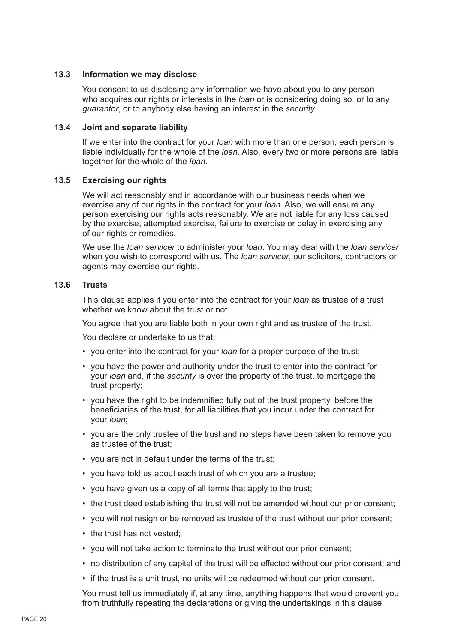#### **13.3 Information we may disclose**

You consent to us disclosing any information we have about you to any person who acquires our rights or interests in the *loan* or is considering doing so, or to any *guarantor*, or to anybody else having an interest in the *security*.

#### **13.4 Joint and separate liability**

If we enter into the contract for your *loan* with more than one person, each person is liable individually for the whole of the *loan*. Also, every two or more persons are liable together for the whole of the *loan*.

#### **13.5 Exercising our rights**

We will act reasonably and in accordance with our business needs when we exercise any of our rights in the contract for your *loan*. Also, we will ensure any person exercising our rights acts reasonably. We are not liable for any loss caused by the exercise, attempted exercise, failure to exercise or delay in exercising any of our rights or remedies.

We use the *loan servicer* to administer your *loan*. You may deal with the *loan servicer* when you wish to correspond with us. The *loan servicer*, our solicitors, contractors or agents may exercise our rights.

#### **13.6 Trusts**

This clause applies if you enter into the contract for your *loan* as trustee of a trust whether we know about the trust or not.

You agree that you are liable both in your own right and as trustee of the trust.

You declare or undertake to us that:

- you enter into the contract for your *loan* for a proper purpose of the trust;
- you have the power and authority under the trust to enter into the contract for your *loan* and, if the *security* is over the property of the trust, to mortgage the trust property;
- you have the right to be indemnified fully out of the trust property, before the beneficiaries of the trust, for all liabilities that you incur under the contract for your *loan*;
- you are the only trustee of the trust and no steps have been taken to remove you as trustee of the trust;
- you are not in default under the terms of the trust;
- you have told us about each trust of which you are a trustee;
- you have given us a copy of all terms that apply to the trust;
- the trust deed establishing the trust will not be amended without our prior consent;
- you will not resign or be removed as trustee of the trust without our prior consent;
- the trust has not vested;
- you will not take action to terminate the trust without our prior consent;
- no distribution of any capital of the trust will be effected without our prior consent; and
- if the trust is a unit trust, no units will be redeemed without our prior consent.

You must tell us immediately if, at any time, anything happens that would prevent you from truthfully repeating the declarations or giving the undertakings in this clause.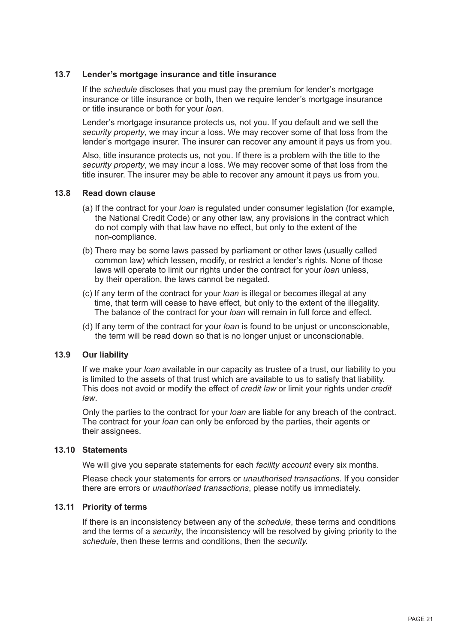#### **13.7 Lender's mortgage insurance and title insurance**

If the *schedule* discloses that you must pay the premium for lender's mortgage insurance or title insurance or both, then we require lender's mortgage insurance or title insurance or both for your *loan*.

Lender's mortgage insurance protects us*,* not you. If you default and we sell the *security property*, we may incur a loss. We may recover some of that loss from the lender's mortgage insurer. The insurer can recover any amount it pays us from you.

Also, title insurance protects us*,* not you. If there is a problem with the title to the *security property*, we may incur a loss. We may recover some of that loss from the title insurer. The insurer may be able to recover any amount it pays us from you.

#### **13.8 Read down clause**

- (a) If the contract for your *loan* is regulated under consumer legislation (for example, the National Credit Code) or any other law, any provisions in the contract which do not comply with that law have no effect, but only to the extent of the non-compliance.
- (b) There may be some laws passed by parliament or other laws (usually called common law) which lessen, modify, or restrict a lender's rights. None of those laws will operate to limit our rights under the contract for your *loan* unless, by their operation, the laws cannot be negated.
- (c) If any term of the contract for your *loan* is illegal or becomes illegal at any time, that term will cease to have effect, but only to the extent of the illegality. The balance of the contract for your *loan* will remain in full force and effect.
- (d) If any term of the contract for your *loan* is found to be unjust or unconscionable, the term will be read down so that is no longer unjust or unconscionable.

#### **13.9 Our liability**

If we make your *loan* available in our capacity as trustee of a trust, our liability to you is limited to the assets of that trust which are available to us to satisfy that liability. This does not avoid or modify the effect of *credit law* or limit your rights under *credit law*.

Only the parties to the contract for your *loan* are liable for any breach of the contract. The contract for your *loan* can only be enforced by the parties, their agents or their assignees.

#### **13.10 Statements**

We will give you separate statements for each *facility account* every six months.

Please check your statements for errors or *unauthorised transactions*. If you consider there are errors or *unauthorised transactions*, please notify us immediately.

#### **13.11 Priority of terms**

If there is an inconsistency between any of the *schedule*, these terms and conditions and the terms of a *security*, the inconsistency will be resolved by giving priority to the *schedule*, then these terms and conditions, then the *security.*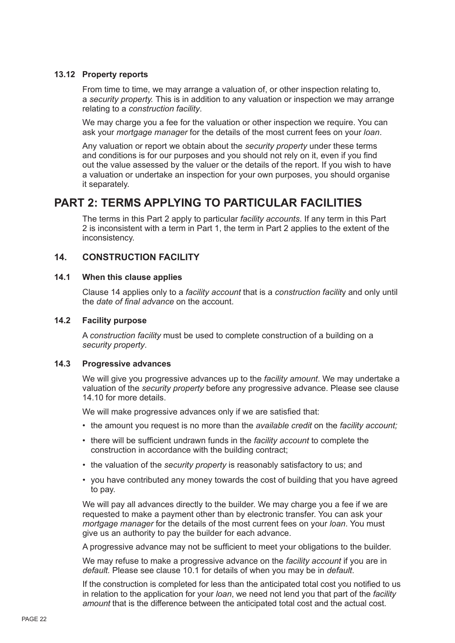#### **13.12 Property reports**

From time to time, we may arrange a valuation of, or other inspection relating to, a *security property.* This is in addition to any valuation or inspection we may arrange relating to a *construction facility*.

We may charge you a fee for the valuation or other inspection we require. You can ask your *mortgage manager* for the details of the most current fees on your *loan*.

Any valuation or report we obtain about the *security property* under these terms and conditions is for our purposes and you should not rely on it, even if you find out the value assessed by the valuer or the details of the report. If you wish to have a valuation or undertake an inspection for your own purposes, you should organise it separately.

# **PART 2: TERMS APPLYING TO PARTICULAR FACILITIES**

The terms in this Part 2 apply to particular *facility accounts*. If any term in this Part 2 is inconsistent with a term in Part 1, the term in Part 2 applies to the extent of the inconsistency.

# **14. CONSTRUCTION FACILITY**

#### **14.1 When this clause applies**

Clause 14 applies only to a *facility account* that is a *construction facilit*y and only until the *date of final advance* on the account.

#### **14.2 Facility purpose**

A *construction facility* must be used to complete construction of a building on a *security property*.

## **14.3 Progressive advances**

We will give you progressive advances up to the *facility amount*. We may undertake a valuation of the *security property* before any progressive advance. Please see clause 14.10 for more details.

We will make progressive advances only if we are satisfied that:

- the amount you request is no more than the *available credit* on the *facility account;*
- there will be sufficient undrawn funds in the *facility account* to complete the construction in accordance with the building contract;
- the valuation of the *security property* is reasonably satisfactory to us; and
- you have contributed any money towards the cost of building that you have agreed to pay.

We will pay all advances directly to the builder. We may charge you a fee if we are requested to make a payment other than by electronic transfer. You can ask your *mortgage manager* for the details of the most current fees on your *loan*. You must give us an authority to pay the builder for each advance.

A progressive advance may not be sufficient to meet your obligations to the builder.

We may refuse to make a progressive advance on the *facility account* if you are in *default.* Please see clause 10.1 for details of when you may be in *default*.

If the construction is completed for less than the anticipated total cost you notified to us in relation to the application for your *loan*, we need not lend you that part of the *facility amount* that is the difference between the anticipated total cost and the actual cost.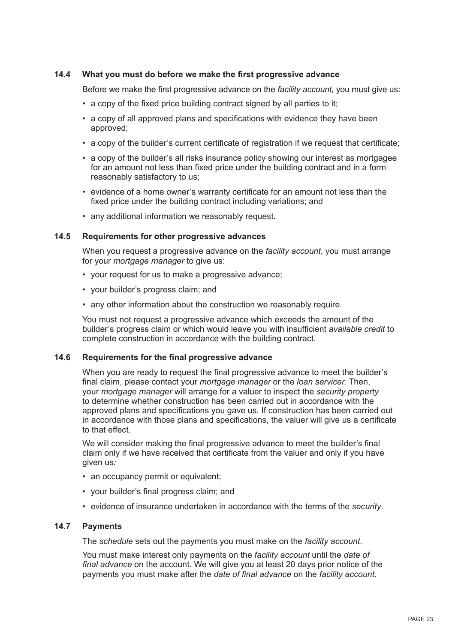# **14.4 What you must do before we make the first progressive advance**

Before we make the first progressive advance on the *facility account,* you must give us:

- a copy of the fixed price building contract signed by all parties to it;
- a copy of all approved plans and specifications with evidence they have been approved;
- a copy of the builder's current certificate of registration if we request that certificate;
- a copy of the builder's all risks insurance policy showing our interest as mortgagee for an amount not less than fixed price under the building contract and in a form reasonably satisfactory to us;
- evidence of a home owner's warranty certificate for an amount not less than the fixed price under the building contract including variations; and
- any additional information we reasonably request.

#### **14.5 Requirements for other progressive advances**

When you request a progressive advance on the *facility account*, you must arrange for your *mortgage manager* to give us:

- your request for us to make a progressive advance;
- your builder's progress claim; and
- any other information about the construction we reasonably require.

You must not request a progressive advance which exceeds the amount of the builder's progress claim or which would leave you with insufficient *available credit* to complete construction in accordance with the building contract.

#### **14.6 Requirements for the final progressive advance**

When you are ready to request the final progressive advance to meet the builder's final claim, please contact your *mortgage manager* or the *loan servicer.* Then, your *mortgage manager* will arrange for a valuer to inspect the *security property* to determine whether construction has been carried out in accordance with the approved plans and specifications you gave us. If construction has been carried out in accordance with those plans and specifications, the valuer will give us a certificate to that effect.

We will consider making the final progressive advance to meet the builder's final claim only if we have received that certificate from the valuer and only if you have given us*:* 

- an occupancy permit or equivalent:
- your builder's final progress claim; and
- evidence of insurance undertaken in accordance with the terms of the *security*.

# **14.7 Payments**

The *schedule* sets out the payments you must make on the *facility account*.

You must make interest only payments on the *facility account* until the *date of final advance* on the account. We will give you at least 20 days prior notice of the payments you must make after the *date of final advance* on the *facility account*.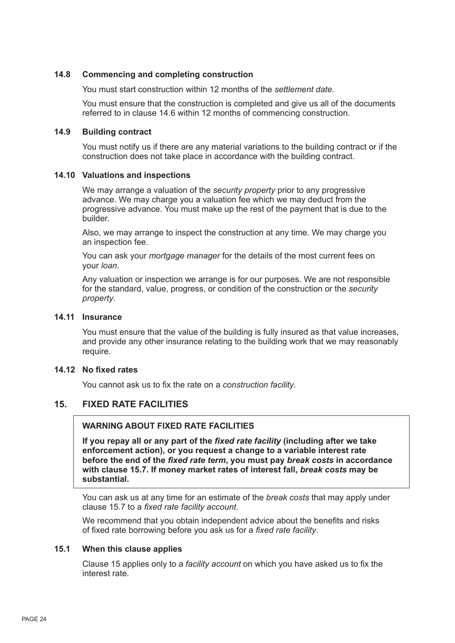#### **14.8 Commencing and completing construction**

You must start construction within 12 months of the *settlement date.*

You must ensure that the construction is completed and give us all of the documents referred to in clause 14.6 within 12 months of commencing construction.

#### **14.9 Building contract**

You must notify us if there are any material variations to the building contract or if the construction does not take place in accordance with the building contract.

#### **14.10 Valuations and inspections**

We may arrange a valuation of the *security property* prior to any progressive advance. We may charge you a valuation fee which we may deduct from the progressive advance. You must make up the rest of the payment that is due to the builder.

Also, we may arrange to inspect the construction at any time. We may charge you an inspection fee.

You can ask your *mortgage manager* for the details of the most current fees on your *loan*.

Any valuation or inspection we arrange is for our purposes. We are not responsible for the standard, value, progress, or condition of the construction or the *security property*.

#### **14.11 Insurance**

You must ensure that the value of the building is fully insured as that value increases, and provide any other insurance relating to the building work that we may reasonably require.

#### **14.12 No fixed rates**

You cannot ask us to fix the rate on a *construction facility*.

# **15. FIXED RATE FACILITIES**

#### **WARNING ABOUT FIXED RATE FACILITIES**

**If you repay all or any part of the** *fixed rate facility* **(including after we take enforcement action), or you request a change to a variable interest rate before the end of the** *fixed rate term***, you must pay** *break costs* **in accordance with clause 15.7. If money market rates of interest fall,** *break costs* **may be substantial.** 

You can ask us at any time for an estimate of the *break costs* that may apply under clause 15.7 to a *fixed rate facility account*.

We recommend that you obtain independent advice about the benefits and risks of fixed rate borrowing before you ask us for a *fixed rate facility*.

#### **15.1 When this clause applies**

Clause 15 applies only to a *facility account* on which you have asked us to fix the interest rate.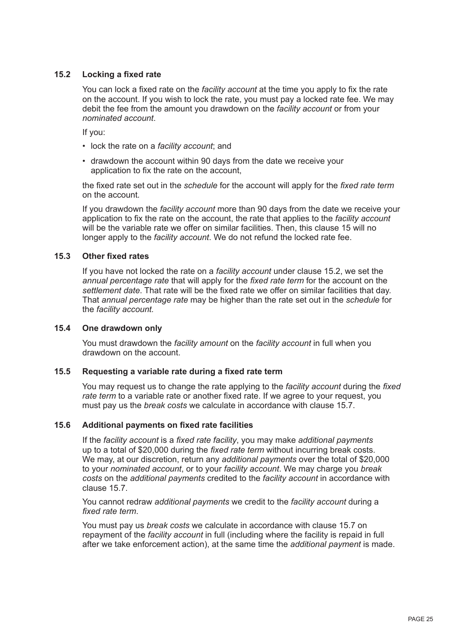# **15.2 Locking a fixed rate**

You can lock a fixed rate on the *facility account* at the time you apply to fix the rate on the account. If you wish to lock the rate, you must pay a locked rate fee. We may debit the fee from the amount you drawdown on the *facility account* or from your *nominated account*.

If you:

- lock the rate on a *facility account*; and
- drawdown the account within 90 days from the date we receive your application to fix the rate on the account,

the fixed rate set out in the *schedule* for the account will apply for the *fixed rate term*  on the account*.* 

If you drawdown the *facility account* more than 90 days from the date we receive your application to fix the rate on the account, the rate that applies to the *facility account* will be the variable rate we offer on similar facilities. Then, this clause 15 will no longer apply to the *facility account*. We do not refund the locked rate fee.

#### **15.3 Other fixed rates**

If you have not locked the rate on a *facility account* under clause 15.2, we set the *annual percentage rate* that will apply for the *fixed rate term* for the account on the *settlement date*. That rate will be the fixed rate we offer on similar facilities that day. That *annual percentage rate* may be higher than the rate set out in the *schedule* for the *facility account.*

#### **15.4 One drawdown only**

You must drawdown the *facility amount* on the *facility account* in full when you drawdown on the account.

#### **15.5 Requesting a variable rate during a fixed rate term**

You may request us to change the rate applying to the *facility account* during the *fixed rate term* to a variable rate or another fixed rate. If we agree to your request, you must pay us the *break costs* we calculate in accordance with clause 15.7.

#### **15.6 Additional payments on fixed rate facilities**

If the *facility account* is a *fixed rate facility*, you may make *additional payments* up to a total of \$20,000 during the *fixed rate term* without incurring break costs. We may, at our discretion, return any *additional payments* over the total of \$20,000 to your *nominated account*, or to your *facility account*. We may charge you *break costs* on the *additional payments* credited to the *facility account* in accordance with clause 15.7.

You cannot redraw *additional payments* we credit to the *facility account* during a *fixed rate term*.

You must pay us *break costs* we calculate in accordance with clause 15.7 on repayment of the *facility account* in full (including where the facility is repaid in full after we take enforcement action), at the same time the *additional payment* is made.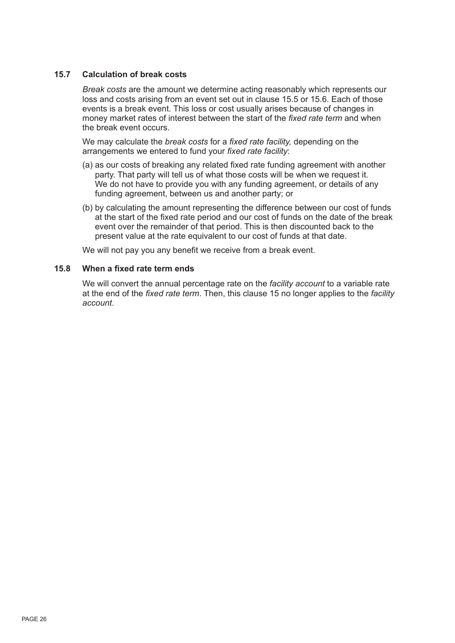#### **15.7 Calculation of break costs**

*Break costs* are the amount we determine acting reasonably which represents our loss and costs arising from an event set out in clause 15.5 or 15.6. Each of those events is a break event. This loss or cost usually arises because of changes in money market rates of interest between the start of the *fixed rate term* and when the break event occurs.

We may calculate the *break costs* for a *fixed rate facility,* depending on the arrangements we entered to fund your *fixed rate facility*:

- (a) as our costs of breaking any related fixed rate funding agreement with another party. That party will tell us of what those costs will be when we request it. We do not have to provide you with any funding agreement, or details of any funding agreement, between us and another party; or
- (b) by calculating the amount representing the difference between our cost of funds at the start of the fixed rate period and our cost of funds on the date of the break event over the remainder of that period. This is then discounted back to the present value at the rate equivalent to our cost of funds at that date.

We will not pay you any benefit we receive from a break event.

#### **15.8 When a fixed rate term ends**

We will convert the annual percentage rate on the *facility account* to a variable rate at the end of the *fixed rate term*. Then, this clause 15 no longer applies to the *facility account*.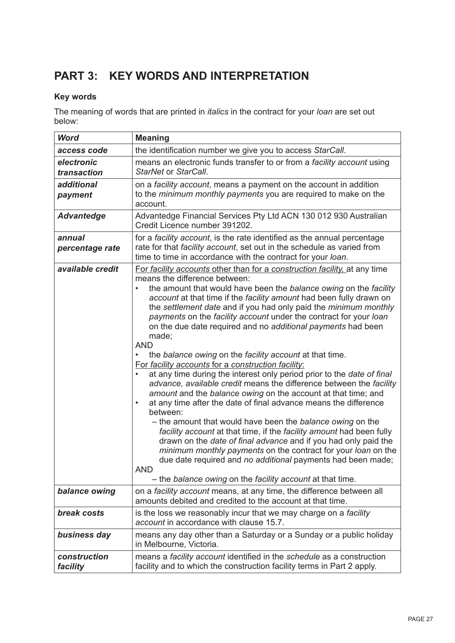# **PART 3: KEY WORDS AND INTERPRETATION**

# **Key words**

The meaning of words that are printed in *italics* in the contract for your *loan* are set out below:

| <b>Word</b>               | <b>Meaning</b>                                                                                                                                                                                                                                                                                                                                                                                                                                                                                                                                                                                                                                                                                                                                                                                                                                                                                                                                                                                                                                                                                                                                                                                                                                                                                                                                    |
|---------------------------|---------------------------------------------------------------------------------------------------------------------------------------------------------------------------------------------------------------------------------------------------------------------------------------------------------------------------------------------------------------------------------------------------------------------------------------------------------------------------------------------------------------------------------------------------------------------------------------------------------------------------------------------------------------------------------------------------------------------------------------------------------------------------------------------------------------------------------------------------------------------------------------------------------------------------------------------------------------------------------------------------------------------------------------------------------------------------------------------------------------------------------------------------------------------------------------------------------------------------------------------------------------------------------------------------------------------------------------------------|
| access code               | the identification number we give you to access StarCall.                                                                                                                                                                                                                                                                                                                                                                                                                                                                                                                                                                                                                                                                                                                                                                                                                                                                                                                                                                                                                                                                                                                                                                                                                                                                                         |
| electronic<br>transaction | means an electronic funds transfer to or from a facility account using<br>StarNet or StarCall.                                                                                                                                                                                                                                                                                                                                                                                                                                                                                                                                                                                                                                                                                                                                                                                                                                                                                                                                                                                                                                                                                                                                                                                                                                                    |
| additional<br>payment     | on a facility account, means a payment on the account in addition<br>to the <i>minimum monthly payments</i> you are required to make on the<br>account.                                                                                                                                                                                                                                                                                                                                                                                                                                                                                                                                                                                                                                                                                                                                                                                                                                                                                                                                                                                                                                                                                                                                                                                           |
| <b>Advantedge</b>         | Advantedge Financial Services Pty Ltd ACN 130 012 930 Australian<br>Credit Licence number 391202.                                                                                                                                                                                                                                                                                                                                                                                                                                                                                                                                                                                                                                                                                                                                                                                                                                                                                                                                                                                                                                                                                                                                                                                                                                                 |
| annual<br>percentage rate | for a <i>facility account</i> , is the rate identified as the annual percentage<br>rate for that facility account, set out in the schedule as varied from<br>time to time in accordance with the contract for your loan.                                                                                                                                                                                                                                                                                                                                                                                                                                                                                                                                                                                                                                                                                                                                                                                                                                                                                                                                                                                                                                                                                                                          |
| available credit          | For facility accounts other than for a construction facility, at any time<br>means the difference between:<br>the amount that would have been the balance owing on the facility<br>account at that time if the facility amount had been fully drawn on<br>the settlement date and if you had only paid the minimum monthly<br>payments on the facility account under the contract for your loan<br>on the due date required and no additional payments had been<br>made;<br><b>AND</b><br>the balance owing on the facility account at that time.<br>For facility accounts for a construction facility:<br>at any time during the interest only period prior to the date of final<br>advance, available credit means the difference between the facility<br>amount and the balance owing on the account at that time; and<br>at any time after the date of final advance means the difference<br>$\bullet$<br>between:<br>- the amount that would have been the balance owing on the<br>facility account at that time, if the facility amount had been fully<br>drawn on the <i>date of final advance</i> and if you had only paid the<br>minimum monthly payments on the contract for your loan on the<br>due date required and no additional payments had been made;<br><b>AND</b><br>- the balance owing on the facility account at that time. |
| balance owing             | on a facility account means, at any time, the difference between all<br>amounts debited and credited to the account at that time.                                                                                                                                                                                                                                                                                                                                                                                                                                                                                                                                                                                                                                                                                                                                                                                                                                                                                                                                                                                                                                                                                                                                                                                                                 |
| break costs               | is the loss we reasonably incur that we may charge on a facility<br>account in accordance with clause 15.7.                                                                                                                                                                                                                                                                                                                                                                                                                                                                                                                                                                                                                                                                                                                                                                                                                                                                                                                                                                                                                                                                                                                                                                                                                                       |
| business day              | means any day other than a Saturday or a Sunday or a public holiday<br>in Melbourne, Victoria.                                                                                                                                                                                                                                                                                                                                                                                                                                                                                                                                                                                                                                                                                                                                                                                                                                                                                                                                                                                                                                                                                                                                                                                                                                                    |
| construction<br>facility  | means a facility account identified in the schedule as a construction<br>facility and to which the construction facility terms in Part 2 apply.                                                                                                                                                                                                                                                                                                                                                                                                                                                                                                                                                                                                                                                                                                                                                                                                                                                                                                                                                                                                                                                                                                                                                                                                   |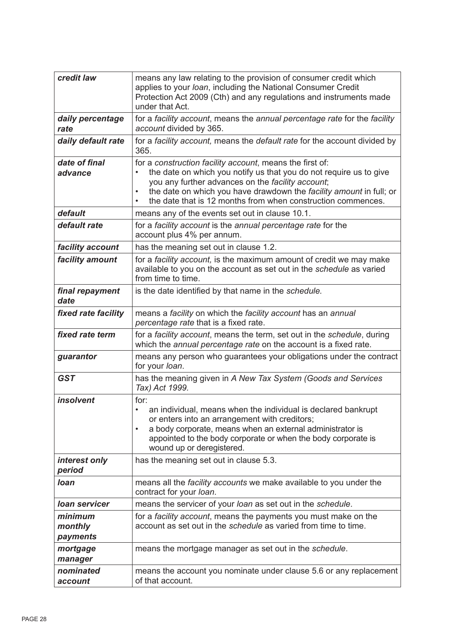| credit law                     | means any law relating to the provision of consumer credit which<br>applies to your loan, including the National Consumer Credit<br>Protection Act 2009 (Cth) and any regulations and instruments made<br>under that Act.                                                                                                                                         |
|--------------------------------|-------------------------------------------------------------------------------------------------------------------------------------------------------------------------------------------------------------------------------------------------------------------------------------------------------------------------------------------------------------------|
| daily percentage<br>rate       | for a facility account, means the annual percentage rate for the facility<br>account divided by 365.                                                                                                                                                                                                                                                              |
| daily default rate             | for a facility account, means the default rate for the account divided by<br>365.                                                                                                                                                                                                                                                                                 |
| date of final<br>advance       | for a construction facility account, means the first of:<br>the date on which you notify us that you do not require us to give<br>$\bullet$<br>you any further advances on the facility account;<br>the date on which you have drawdown the facility amount in full; or<br>$\bullet$<br>the date that is 12 months from when construction commences.<br>$\bullet$ |
| default                        | means any of the events set out in clause 10.1.                                                                                                                                                                                                                                                                                                                   |
| default rate                   | for a facility account is the annual percentage rate for the<br>account plus 4% per annum.                                                                                                                                                                                                                                                                        |
| facility account               | has the meaning set out in clause 1.2.                                                                                                                                                                                                                                                                                                                            |
| facility amount                | for a facility account, is the maximum amount of credit we may make<br>available to you on the account as set out in the schedule as varied<br>from time to time.                                                                                                                                                                                                 |
| final repayment<br>date        | is the date identified by that name in the schedule.                                                                                                                                                                                                                                                                                                              |
| fixed rate facility            | means a facility on which the facility account has an annual<br>percentage rate that is a fixed rate.                                                                                                                                                                                                                                                             |
|                                |                                                                                                                                                                                                                                                                                                                                                                   |
| fixed rate term                | for a facility account, means the term, set out in the schedule, during<br>which the annual percentage rate on the account is a fixed rate.                                                                                                                                                                                                                       |
| guarantor                      | means any person who guarantees your obligations under the contract<br>for your loan.                                                                                                                                                                                                                                                                             |
| <b>GST</b>                     | has the meaning given in A New Tax System (Goods and Services<br>Tax) Act 1999.                                                                                                                                                                                                                                                                                   |
| insolvent                      | for:<br>an individual, means when the individual is declared bankrupt<br>or enters into an arrangement with creditors;<br>a body corporate, means when an external administrator is<br>$\bullet$<br>appointed to the body corporate or when the body corporate is<br>wound up or deregistered.                                                                    |
| interest only<br>period        | has the meaning set out in clause 5.3.                                                                                                                                                                                                                                                                                                                            |
| <b>loan</b>                    | means all the <i>facility accounts</i> we make available to you under the<br>contract for your loan.                                                                                                                                                                                                                                                              |
| loan servicer                  | means the servicer of your loan as set out in the schedule.                                                                                                                                                                                                                                                                                                       |
| minimum<br>monthly<br>payments | for a <i>facility account</i> , means the payments you must make on the<br>account as set out in the schedule as varied from time to time.                                                                                                                                                                                                                        |
| mortgage<br>manager            | means the mortgage manager as set out in the schedule.                                                                                                                                                                                                                                                                                                            |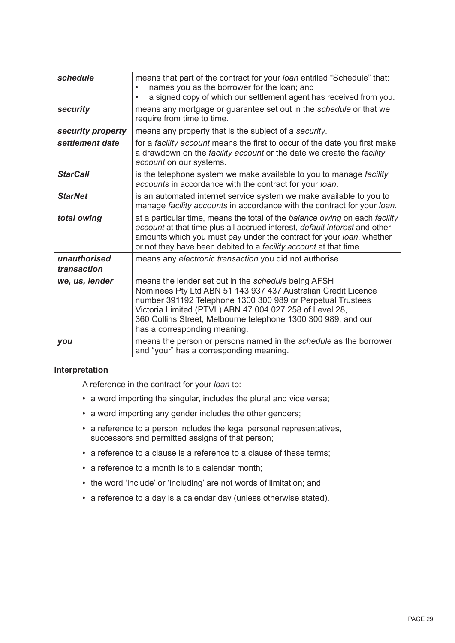| schedule                    | means that part of the contract for your loan entitled "Schedule" that:<br>names you as the borrower for the loan; and<br>$\bullet$<br>a signed copy of which our settlement agent has received from you.<br>$\bullet$                                                                                                                         |
|-----------------------------|------------------------------------------------------------------------------------------------------------------------------------------------------------------------------------------------------------------------------------------------------------------------------------------------------------------------------------------------|
| security                    | means any mortgage or guarantee set out in the schedule or that we<br>require from time to time.                                                                                                                                                                                                                                               |
| security property           | means any property that is the subject of a security.                                                                                                                                                                                                                                                                                          |
| settlement date             | for a facility account means the first to occur of the date you first make<br>a drawdown on the facility account or the date we create the facility<br>account on our systems.                                                                                                                                                                 |
| <b>StarCall</b>             | is the telephone system we make available to you to manage facility<br>accounts in accordance with the contract for your loan.                                                                                                                                                                                                                 |
| <b>StarNet</b>              | is an automated internet service system we make available to you to<br>manage facility accounts in accordance with the contract for your loan.                                                                                                                                                                                                 |
| total owing                 | at a particular time, means the total of the balance owing on each facility<br>account at that time plus all accrued interest, default interest and other<br>amounts which you must pay under the contract for your loan, whether<br>or not they have been debited to a facility account at that time.                                         |
| unauthorised<br>transaction | means any electronic transaction you did not authorise.                                                                                                                                                                                                                                                                                        |
| we, us, lender              | means the lender set out in the schedule being AFSH<br>Nominees Pty Ltd ABN 51 143 937 437 Australian Credit Licence<br>number 391192 Telephone 1300 300 989 or Perpetual Trustees<br>Victoria Limited (PTVL) ABN 47 004 027 258 of Level 28,<br>360 Collins Street, Melbourne telephone 1300 300 989, and our<br>has a corresponding meaning. |
| you                         | means the person or persons named in the schedule as the borrower<br>and "your" has a corresponding meaning.                                                                                                                                                                                                                                   |

#### **Interpretation**

A reference in the contract for your *loan* to:

- a word importing the singular, includes the plural and vice versa;
- a word importing any gender includes the other genders;
- a reference to a person includes the legal personal representatives, successors and permitted assigns of that person;
- a reference to a clause is a reference to a clause of these terms;
- a reference to a month is to a calendar month;
- the word 'include' or 'including' are not words of limitation; and
- a reference to a day is a calendar day (unless otherwise stated).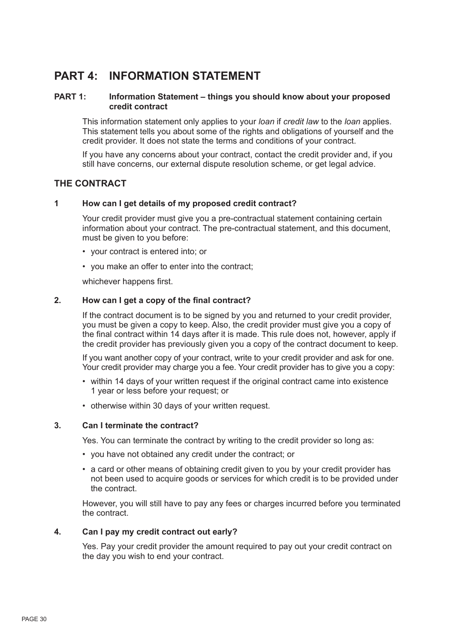# **PART 4: INFORMATION STATEMENT**

#### **PART 1: Information Statement – things you should know about your proposed credit contract**

This information statement only applies to your *loan* if *credit law* to the *loan* applies. This statement tells you about some of the rights and obligations of yourself and the credit provider. It does not state the terms and conditions of your contract.

If you have any concerns about your contract, contact the credit provider and, if you still have concerns, our external dispute resolution scheme, or get legal advice.

# **THE CONTRACT**

#### **1 How can I get details of my proposed credit contract?**

Your credit provider must give you a pre-contractual statement containing certain information about your contract. The pre-contractual statement, and this document, must be given to you before:

- your contract is entered into; or
- you make an offer to enter into the contract;

whichever happens first.

#### **2. How can I get a copy of the final contract?**

If the contract document is to be signed by you and returned to your credit provider, you must be given a copy to keep. Also, the credit provider must give you a copy of the final contract within 14 days after it is made. This rule does not, however, apply if the credit provider has previously given you a copy of the contract document to keep.

If you want another copy of your contract, write to your credit provider and ask for one. Your credit provider may charge you a fee. Your credit provider has to give you a copy:

- within 14 days of your written request if the original contract came into existence 1 year or less before your request; or
- otherwise within 30 days of your written request.

## **3. Can I terminate the contract?**

Yes. You can terminate the contract by writing to the credit provider so long as:

- you have not obtained any credit under the contract; or
- a card or other means of obtaining credit given to you by your credit provider has not been used to acquire goods or services for which credit is to be provided under the contract.

However, you will still have to pay any fees or charges incurred before you terminated the contract.

#### **4. Can I pay my credit contract out early?**

Yes. Pay your credit provider the amount required to pay out your credit contract on the day you wish to end your contract.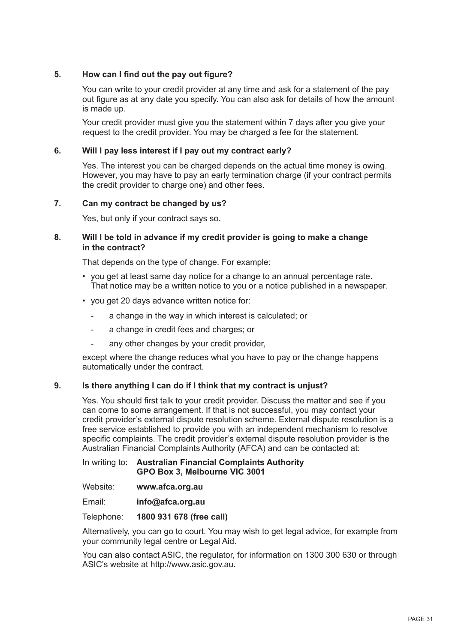# **5. How can I find out the pay out figure?**

You can write to your credit provider at any time and ask for a statement of the pay out figure as at any date you specify. You can also ask for details of how the amount is made up.

Your credit provider must give you the statement within 7 days after you give your request to the credit provider. You may be charged a fee for the statement.

#### **6. Will I pay less interest if I pay out my contract early?**

Yes. The interest you can be charged depends on the actual time money is owing. However, you may have to pay an early termination charge (if your contract permits the credit provider to charge one) and other fees.

#### **7. Can my contract be changed by us?**

Yes, but only if your contract says so.

#### **8. Will I be told in advance if my credit provider is going to make a change in the contract?**

That depends on the type of change. For example:

- you get at least same day notice for a change to an annual percentage rate. That notice may be a written notice to you or a notice published in a newspaper.
- you get 20 days advance written notice for:
	- a change in the way in which interest is calculated; or
	- a change in credit fees and charges; or
	- any other changes by your credit provider,

except where the change reduces what you have to pay or the change happens automatically under the contract.

#### **9. Is there anything I can do if I think that my contract is unjust?**

Yes. You should first talk to your credit provider. Discuss the matter and see if you can come to some arrangement. If that is not successful, you may contact your credit provider's external dispute resolution scheme. External dispute resolution is a free service established to provide you with an independent mechanism to resolve specific complaints. The credit provider's external dispute resolution provider is the Australian Financial Complaints Authority (AFCA) and can be contacted at:

#### In writing to: **Australian Financial Complaints Authority GPO Box 3, Melbourne VIC 3001**

Website: **www.afca.org.au**

Email: **info@afca.org.au**

Telephone: **1800 931 678 (free call)**

Alternatively, you can go to court. You may wish to get legal advice, for example from your community legal centre or Legal Aid.

You can also contact ASIC, the regulator, for information on 1300 300 630 or through ASIC's website at http://www.asic.gov.au.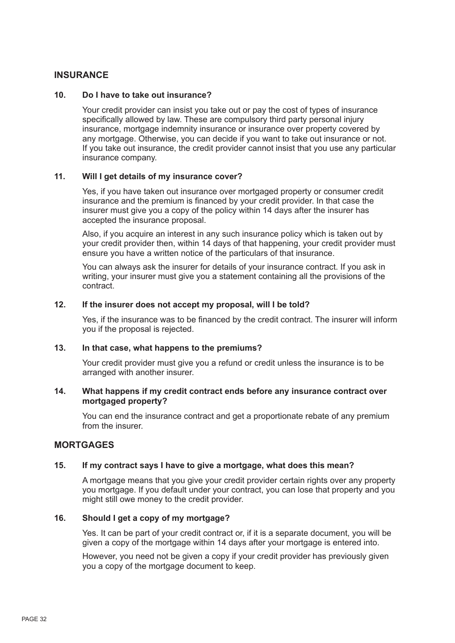# **INSURANCE**

#### **10. Do I have to take out insurance?**

Your credit provider can insist you take out or pay the cost of types of insurance specifically allowed by law. These are compulsory third party personal injury insurance, mortgage indemnity insurance or insurance over property covered by any mortgage. Otherwise, you can decide if you want to take out insurance or not. If you take out insurance, the credit provider cannot insist that you use any particular insurance company.

#### **11. Will I get details of my insurance cover?**

Yes, if you have taken out insurance over mortgaged property or consumer credit insurance and the premium is financed by your credit provider. In that case the insurer must give you a copy of the policy within 14 days after the insurer has accepted the insurance proposal.

Also, if you acquire an interest in any such insurance policy which is taken out by your credit provider then, within 14 days of that happening, your credit provider must ensure you have a written notice of the particulars of that insurance.

You can always ask the insurer for details of your insurance contract. If you ask in writing, your insurer must give you a statement containing all the provisions of the contract.

#### **12. If the insurer does not accept my proposal, will I be told?**

Yes, if the insurance was to be financed by the credit contract. The insurer will inform you if the proposal is rejected.

#### **13. In that case, what happens to the premiums?**

Your credit provider must give you a refund or credit unless the insurance is to be arranged with another insurer.

#### **14. What happens if my credit contract ends before any insurance contract over mortgaged property?**

You can end the insurance contract and get a proportionate rebate of any premium from the insurer.

#### **MORTGAGES**

#### **15. If my contract says I have to give a mortgage, what does this mean?**

A mortgage means that you give your credit provider certain rights over any property you mortgage. If you default under your contract, you can lose that property and you might still owe money to the credit provider.

#### **16. Should I get a copy of my mortgage?**

Yes. It can be part of your credit contract or, if it is a separate document, you will be given a copy of the mortgage within 14 days after your mortgage is entered into.

However, you need not be given a copy if your credit provider has previously given you a copy of the mortgage document to keep.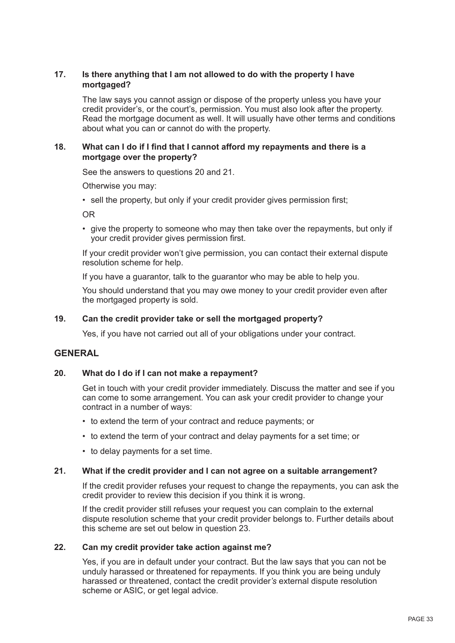# **17. Is there anything that I am not allowed to do with the property I have mortgaged?**

The law says you cannot assign or dispose of the property unless you have your credit provider's, or the court's, permission. You must also look after the property. Read the mortgage document as well. It will usually have other terms and conditions about what you can or cannot do with the property.

#### **18. What can I do if I find that I cannot afford my repayments and there is a mortgage over the property?**

See the answers to questions 20 and 21.

Otherwise you may:

• sell the property, but only if your credit provider gives permission first;

OR

• give the property to someone who may then take over the repayments, but only if your credit provider gives permission first.

If your credit provider won't give permission, you can contact their external dispute resolution scheme for help.

If you have a guarantor, talk to the guarantor who may be able to help you.

You should understand that you may owe money to your credit provider even after the mortgaged property is sold.

#### **19. Can the credit provider take or sell the mortgaged property?**

Yes, if you have not carried out all of your obligations under your contract.

#### **GENERAL**

#### **20. What do I do if I can not make a repayment?**

Get in touch with your credit provider immediately. Discuss the matter and see if you can come to some arrangement. You can ask your credit provider to change your contract in a number of ways:

- to extend the term of your contract and reduce payments; or
- to extend the term of your contract and delay payments for a set time; or
- to delay payments for a set time.

#### **21. What if the credit provider and I can not agree on a suitable arrangement?**

If the credit provider refuses your request to change the repayments, you can ask the credit provider to review this decision if you think it is wrong.

If the credit provider still refuses your request you can complain to the external dispute resolution scheme that your credit provider belongs to. Further details about this scheme are set out below in question 23.

#### **22. Can my credit provider take action against me?**

Yes, if you are in default under your contract. But the law says that you can not be unduly harassed or threatened for repayments. If you think you are being unduly harassed or threatened, contact the credit provider*'s* external dispute resolution scheme or ASIC, or get legal advice.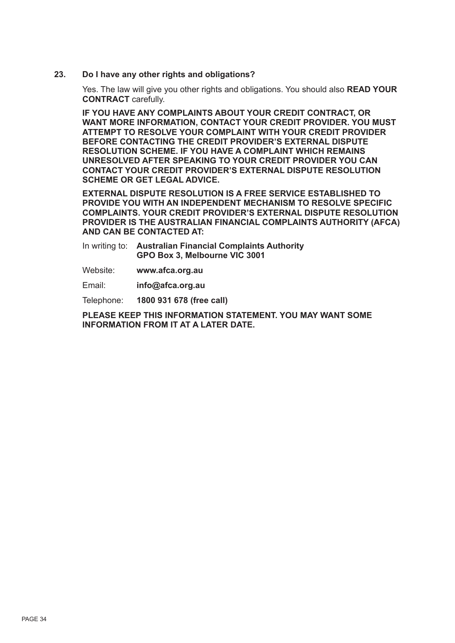#### **23. Do I have any other rights and obligations?**

Yes. The law will give you other rights and obligations. You should also **READ YOUR CONTRACT** carefully.

**IF YOU HAVE ANY COMPLAINTS ABOUT YOUR CREDIT CONTRACT, OR WANT MORE INFORMATION, CONTACT YOUR CREDIT PROVIDER. YOU MUST ATTEMPT TO RESOLVE YOUR COMPLAINT WITH YOUR CREDIT PROVIDER BEFORE CONTACTING THE CREDIT PROVIDER'S EXTERNAL DISPUTE RESOLUTION SCHEME. IF YOU HAVE A COMPLAINT WHICH REMAINS UNRESOLVED AFTER SPEAKING TO YOUR CREDIT PROVIDER YOU CAN CONTACT YOUR CREDIT PROVIDER'S EXTERNAL DISPUTE RESOLUTION SCHEME OR GET LEGAL ADVICE.** 

**EXTERNAL DISPUTE RESOLUTION IS A FREE SERVICE ESTABLISHED TO PROVIDE YOU WITH AN INDEPENDENT MECHANISM TO RESOLVE SPECIFIC COMPLAINTS. YOUR CREDIT PROVIDER'S EXTERNAL DISPUTE RESOLUTION PROVIDER IS THE AUSTRALIAN FINANCIAL COMPLAINTS AUTHORITY (AFCA) AND CAN BE CONTACTED AT:**

- In writing to: **Australian Financial Complaints Authority GPO Box 3, Melbourne VIC 3001**
- Website: **www.afca.org.au**
- Email: **info@afca.org.au**

Telephone: **1800 931 678 (free call)**

**PLEASE KEEP THIS INFORMATION STATEMENT. YOU MAY WANT SOME INFORMATION FROM IT AT A LATER DATE.**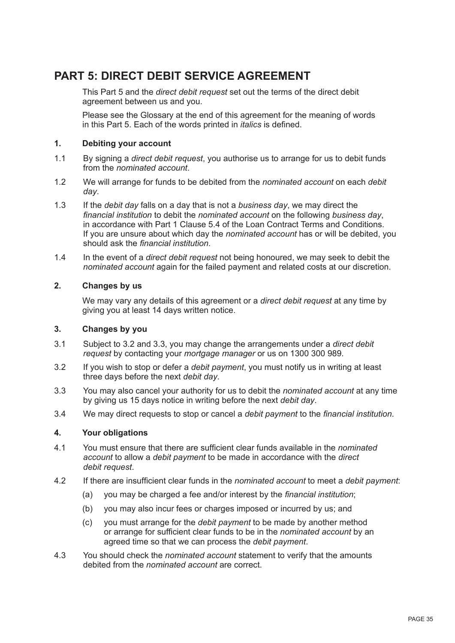# **PART 5: DIRECT DEBIT SERVICE AGREEMENT**

This Part 5 and the *direct debit request* set out the terms of the direct debit agreement between us and you.

Please see the Glossary at the end of this agreement for the meaning of words in this Part 5. Each of the words printed in *italics* is defined.

# **1. Debiting your account**

- 1.1 By signing a *direct debit request*, you authorise us to arrange for us to debit funds from the *nominated account*.
- 1.2 We will arrange for funds to be debited from the *nominated account* on each *debit day*.
- 1.3 If the *debit day* falls on a day that is not a *business day*, we may direct the *financial institution* to debit the *nominated account* on the following *business day*, in accordance with Part 1 Clause 5.4 of the Loan Contract Terms and Conditions. If you are unsure about which day the *nominated account* has or will be debited, you should ask the *financial institution*.
- 1.4 In the event of a *direct debit request* not being honoured, we may seek to debit the *nominated account* again for the failed payment and related costs at our discretion.

# **2. Changes by us**

We may vary any details of this agreement or a *direct debit request* at any time by giving you at least 14 days written notice.

#### **3. Changes by you**

- 3.1 Subject to 3.2 and 3.3, you may change the arrangements under a *direct debit request* by contacting your *mortgage manager* or us on 1300 300 989.
- 3.2 If you wish to stop or defer a *debit payment*, you must notify us in writing at least three days before the next *debit day*.
- 3.3 You may also cancel your authority for us to debit the *nominated account* at any time by giving us 15 days notice in writing before the next *debit day*.
- 3.4 We may direct requests to stop or cancel a *debit payment* to the *financial institution*.

# **4. Your obligations**

- 4.1 You must ensure that there are sufficient clear funds available in the *nominated account* to allow a *debit payment* to be made in accordance with the *direct debit request*.
- 4.2 If there are insufficient clear funds in the *nominated account* to meet a *debit payment*:
	- (a) you may be charged a fee and/or interest by the *financial institution*;
	- (b) you may also incur fees or charges imposed or incurred by us; and
	- (c) you must arrange for the *debit payment* to be made by another method or arrange for sufficient clear funds to be in the *nominated account* by an agreed time so that we can process the *debit payment*.
- 4.3 You should check the *nominated account* statement to verify that the amounts debited from the *nominated account* are correct.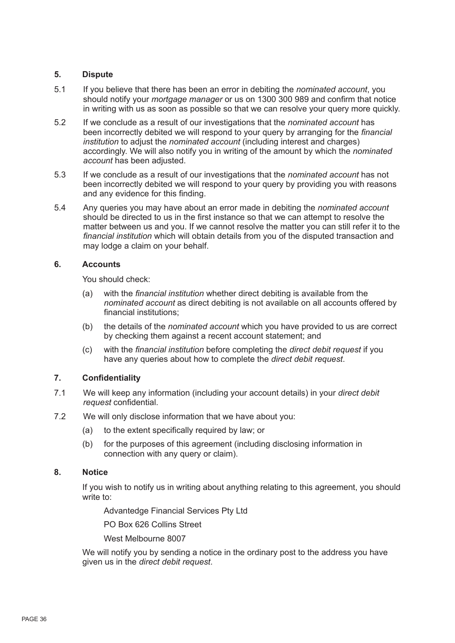# **5. Dispute**

- 5.1 If you believe that there has been an error in debiting the *nominated account*, you should notify your *mortgage manager* or us on 1300 300 989 and confirm that notice in writing with us as soon as possible so that we can resolve your query more quickly.
- 5.2 If we conclude as a result of our investigations that the *nominated account* has been incorrectly debited we will respond to your query by arranging for the *financial institution* to adjust the *nominated account* (including interest and charges) accordingly. We will also notify you in writing of the amount by which the *nominated account* has been adjusted.
- 5.3 If we conclude as a result of our investigations that the *nominated account* has not been incorrectly debited we will respond to your query by providing you with reasons and any evidence for this finding.
- 5.4 Any queries you may have about an error made in debiting the *nominated account* should be directed to us in the first instance so that we can attempt to resolve the matter between us and you. If we cannot resolve the matter you can still refer it to the *financial institution* which will obtain details from you of the disputed transaction and may lodge a claim on your behalf.

## **6. Accounts**

You should check:

- (a) with the *financial institution* whether direct debiting is available from the *nominated account* as direct debiting is not available on all accounts offered by financial institutions;
- (b) the details of the *nominated account* which you have provided to us are correct by checking them against a recent account statement; and
- (c) with the *financial institution* before completing the *direct debit request* if you have any queries about how to complete the *direct debit request*.

# **7. Confidentiality**

- 7.1 We will keep any information (including your account details) in your *direct debit request* confidential.
- 7.2 We will only disclose information that we have about you:
	- (a) to the extent specifically required by law; or
	- (b) for the purposes of this agreement (including disclosing information in connection with any query or claim).

#### **8. Notice**

If you wish to notify us in writing about anything relating to this agreement, you should write to:

Advantedge Financial Services Pty Ltd

PO Box 626 Collins Street

West Melbourne 8007

We will notify you by sending a notice in the ordinary post to the address you have given us in the *direct debit request*.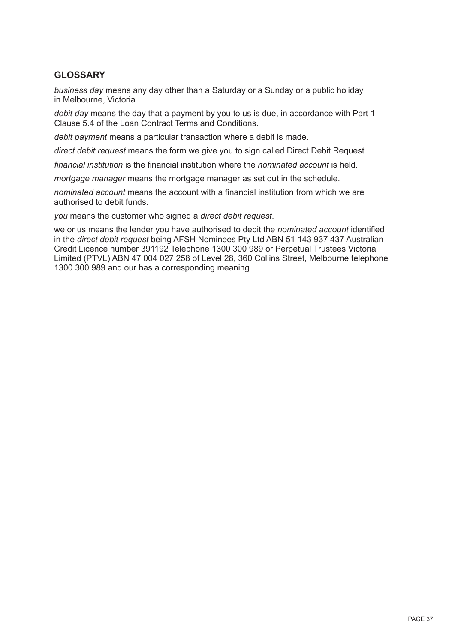# **GLOSSARY**

*business day* means any day other than a Saturday or a Sunday or a public holiday in Melbourne, Victoria.

*debit day* means the day that a payment by you to us is due, in accordance with Part 1 Clause 5.4 of the Loan Contract Terms and Conditions.

*debit payment* means a particular transaction where a debit is made.

*direct debit request* means the form we give you to sign called Direct Debit Request.

*financial institution* is the financial institution where the *nominated account* is held.

*mortgage manager* means the mortgage manager as set out in the schedule.

*nominated account* means the account with a financial institution from which we are authorised to debit funds.

*you* means the customer who signed a *direct debit request*.

we or us means the lender you have authorised to debit the *nominated account* identified in the *direct debit request* being AFSH Nominees Pty Ltd ABN 51 143 937 437 Australian Credit Licence number 391192 Telephone 1300 300 989 or Perpetual Trustees Victoria Limited (PTVL) ABN 47 004 027 258 of Level 28, 360 Collins Street, Melbourne telephone 1300 300 989 and our has a corresponding meaning.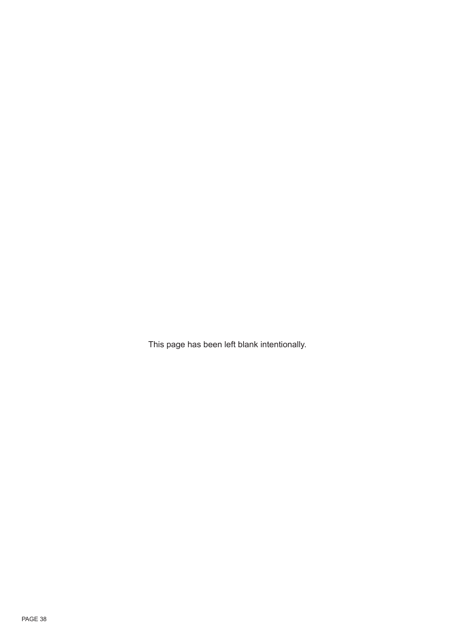This page has been left blank intentionally.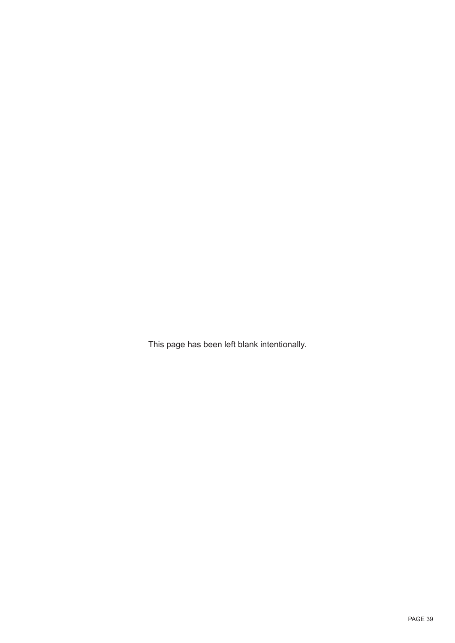This page has been left blank intentionally.